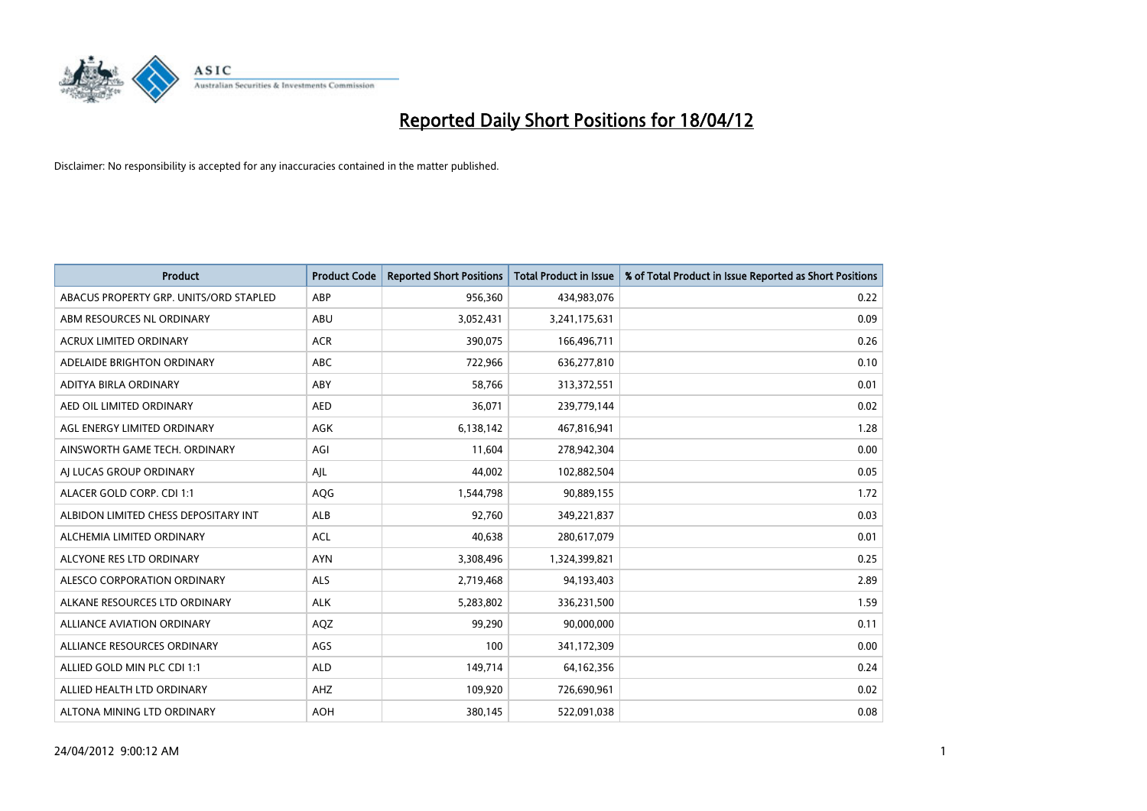

| <b>Product</b>                         | <b>Product Code</b> | <b>Reported Short Positions</b> | <b>Total Product in Issue</b> | % of Total Product in Issue Reported as Short Positions |
|----------------------------------------|---------------------|---------------------------------|-------------------------------|---------------------------------------------------------|
| ABACUS PROPERTY GRP. UNITS/ORD STAPLED | ABP                 | 956,360                         | 434,983,076                   | 0.22                                                    |
| ABM RESOURCES NL ORDINARY              | ABU                 | 3,052,431                       | 3,241,175,631                 | 0.09                                                    |
| <b>ACRUX LIMITED ORDINARY</b>          | <b>ACR</b>          | 390,075                         | 166,496,711                   | 0.26                                                    |
| ADELAIDE BRIGHTON ORDINARY             | <b>ABC</b>          | 722,966                         | 636,277,810                   | 0.10                                                    |
| ADITYA BIRLA ORDINARY                  | ABY                 | 58,766                          | 313,372,551                   | 0.01                                                    |
| AED OIL LIMITED ORDINARY               | <b>AED</b>          | 36,071                          | 239,779,144                   | 0.02                                                    |
| AGL ENERGY LIMITED ORDINARY            | AGK                 | 6,138,142                       | 467,816,941                   | 1.28                                                    |
| AINSWORTH GAME TECH. ORDINARY          | AGI                 | 11,604                          | 278,942,304                   | 0.00                                                    |
| AI LUCAS GROUP ORDINARY                | AJL                 | 44,002                          | 102,882,504                   | 0.05                                                    |
| ALACER GOLD CORP. CDI 1:1              | AQG                 | 1,544,798                       | 90,889,155                    | 1.72                                                    |
| ALBIDON LIMITED CHESS DEPOSITARY INT   | ALB                 | 92,760                          | 349,221,837                   | 0.03                                                    |
| ALCHEMIA LIMITED ORDINARY              | <b>ACL</b>          | 40,638                          | 280,617,079                   | 0.01                                                    |
| ALCYONE RES LTD ORDINARY               | <b>AYN</b>          | 3,308,496                       | 1,324,399,821                 | 0.25                                                    |
| ALESCO CORPORATION ORDINARY            | ALS                 | 2,719,468                       | 94,193,403                    | 2.89                                                    |
| ALKANE RESOURCES LTD ORDINARY          | <b>ALK</b>          | 5,283,802                       | 336,231,500                   | 1.59                                                    |
| ALLIANCE AVIATION ORDINARY             | AQZ                 | 99,290                          | 90,000,000                    | 0.11                                                    |
| ALLIANCE RESOURCES ORDINARY            | AGS                 | 100                             | 341,172,309                   | 0.00                                                    |
| ALLIED GOLD MIN PLC CDI 1:1            | <b>ALD</b>          | 149,714                         | 64,162,356                    | 0.24                                                    |
| ALLIED HEALTH LTD ORDINARY             | AHZ                 | 109,920                         | 726,690,961                   | 0.02                                                    |
| ALTONA MINING LTD ORDINARY             | <b>AOH</b>          | 380,145                         | 522,091,038                   | 0.08                                                    |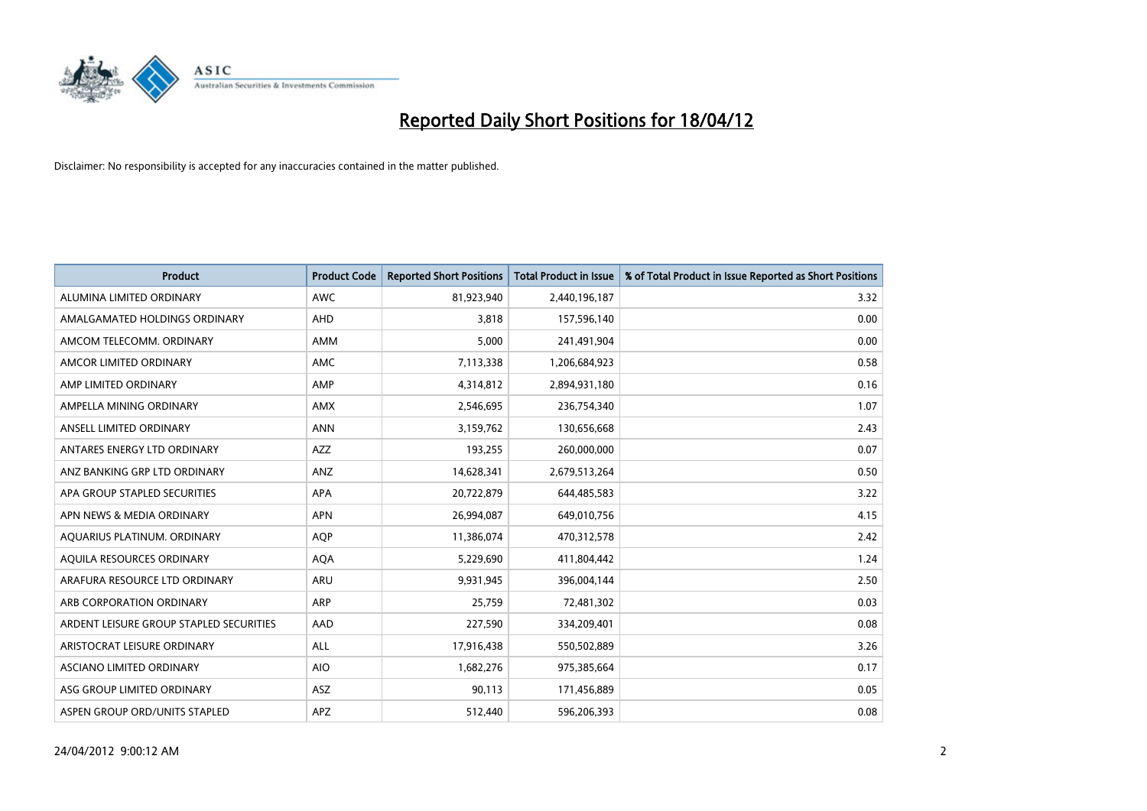

| <b>Product</b>                          | <b>Product Code</b> | <b>Reported Short Positions</b> | <b>Total Product in Issue</b> | % of Total Product in Issue Reported as Short Positions |
|-----------------------------------------|---------------------|---------------------------------|-------------------------------|---------------------------------------------------------|
| ALUMINA LIMITED ORDINARY                | <b>AWC</b>          | 81,923,940                      | 2,440,196,187                 | 3.32                                                    |
| AMALGAMATED HOLDINGS ORDINARY           | AHD                 | 3,818                           | 157,596,140                   | 0.00                                                    |
| AMCOM TELECOMM, ORDINARY                | AMM                 | 5,000                           | 241,491,904                   | 0.00                                                    |
| AMCOR LIMITED ORDINARY                  | AMC                 | 7,113,338                       | 1,206,684,923                 | 0.58                                                    |
| AMP LIMITED ORDINARY                    | AMP                 | 4,314,812                       | 2,894,931,180                 | 0.16                                                    |
| AMPELLA MINING ORDINARY                 | <b>AMX</b>          | 2,546,695                       | 236,754,340                   | 1.07                                                    |
| ANSELL LIMITED ORDINARY                 | <b>ANN</b>          | 3,159,762                       | 130,656,668                   | 2.43                                                    |
| ANTARES ENERGY LTD ORDINARY             | AZZ                 | 193,255                         | 260,000,000                   | 0.07                                                    |
| ANZ BANKING GRP LTD ORDINARY            | ANZ                 | 14,628,341                      | 2,679,513,264                 | 0.50                                                    |
| APA GROUP STAPLED SECURITIES            | <b>APA</b>          | 20,722,879                      | 644,485,583                   | 3.22                                                    |
| APN NEWS & MEDIA ORDINARY               | <b>APN</b>          | 26,994,087                      | 649,010,756                   | 4.15                                                    |
| AQUARIUS PLATINUM. ORDINARY             | AQP                 | 11,386,074                      | 470,312,578                   | 2.42                                                    |
| AQUILA RESOURCES ORDINARY               | <b>AQA</b>          | 5,229,690                       | 411,804,442                   | 1.24                                                    |
| ARAFURA RESOURCE LTD ORDINARY           | ARU                 | 9,931,945                       | 396,004,144                   | 2.50                                                    |
| ARB CORPORATION ORDINARY                | <b>ARP</b>          | 25,759                          | 72,481,302                    | 0.03                                                    |
| ARDENT LEISURE GROUP STAPLED SECURITIES | AAD                 | 227,590                         | 334,209,401                   | 0.08                                                    |
| ARISTOCRAT LEISURE ORDINARY             | ALL                 | 17,916,438                      | 550,502,889                   | 3.26                                                    |
| ASCIANO LIMITED ORDINARY                | <b>AIO</b>          | 1,682,276                       | 975,385,664                   | 0.17                                                    |
| ASG GROUP LIMITED ORDINARY              | ASZ                 | 90,113                          | 171,456,889                   | 0.05                                                    |
| ASPEN GROUP ORD/UNITS STAPLED           | APZ                 | 512,440                         | 596,206,393                   | 0.08                                                    |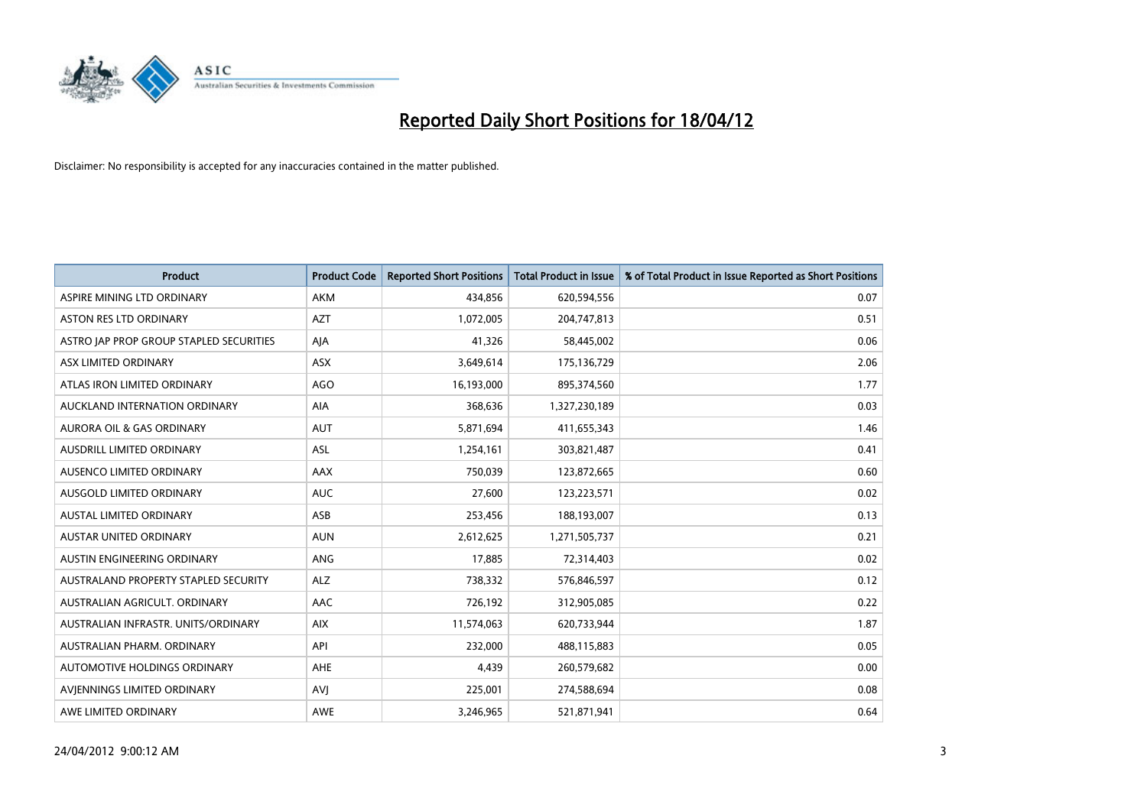

| <b>Product</b>                          | <b>Product Code</b> | <b>Reported Short Positions</b> | <b>Total Product in Issue</b> | % of Total Product in Issue Reported as Short Positions |
|-----------------------------------------|---------------------|---------------------------------|-------------------------------|---------------------------------------------------------|
| ASPIRE MINING LTD ORDINARY              | AKM                 | 434,856                         | 620,594,556                   | 0.07                                                    |
| ASTON RES LTD ORDINARY                  | <b>AZT</b>          | 1,072,005                       | 204,747,813                   | 0.51                                                    |
| ASTRO JAP PROP GROUP STAPLED SECURITIES | AJA                 | 41,326                          | 58,445,002                    | 0.06                                                    |
| ASX LIMITED ORDINARY                    | ASX                 | 3,649,614                       | 175,136,729                   | 2.06                                                    |
| ATLAS IRON LIMITED ORDINARY             | <b>AGO</b>          | 16,193,000                      | 895,374,560                   | 1.77                                                    |
| AUCKLAND INTERNATION ORDINARY           | AIA                 | 368,636                         | 1,327,230,189                 | 0.03                                                    |
| AURORA OIL & GAS ORDINARY               | <b>AUT</b>          | 5,871,694                       | 411,655,343                   | 1.46                                                    |
| AUSDRILL LIMITED ORDINARY               | ASL                 | 1,254,161                       | 303,821,487                   | 0.41                                                    |
| AUSENCO LIMITED ORDINARY                | AAX                 | 750,039                         | 123,872,665                   | 0.60                                                    |
| AUSGOLD LIMITED ORDINARY                | <b>AUC</b>          | 27,600                          | 123,223,571                   | 0.02                                                    |
| <b>AUSTAL LIMITED ORDINARY</b>          | ASB                 | 253,456                         | 188,193,007                   | 0.13                                                    |
| <b>AUSTAR UNITED ORDINARY</b>           | <b>AUN</b>          | 2,612,625                       | 1,271,505,737                 | 0.21                                                    |
| AUSTIN ENGINEERING ORDINARY             | ANG                 | 17,885                          | 72,314,403                    | 0.02                                                    |
| AUSTRALAND PROPERTY STAPLED SECURITY    | <b>ALZ</b>          | 738,332                         | 576,846,597                   | 0.12                                                    |
| AUSTRALIAN AGRICULT. ORDINARY           | AAC                 | 726,192                         | 312,905,085                   | 0.22                                                    |
| AUSTRALIAN INFRASTR, UNITS/ORDINARY     | <b>AIX</b>          | 11,574,063                      | 620,733,944                   | 1.87                                                    |
| AUSTRALIAN PHARM, ORDINARY              | API                 | 232,000                         | 488,115,883                   | 0.05                                                    |
| AUTOMOTIVE HOLDINGS ORDINARY            | AHE                 | 4,439                           | 260,579,682                   | 0.00                                                    |
| AVIENNINGS LIMITED ORDINARY             | <b>AVI</b>          | 225,001                         | 274,588,694                   | 0.08                                                    |
| AWE LIMITED ORDINARY                    | <b>AWE</b>          | 3,246,965                       | 521,871,941                   | 0.64                                                    |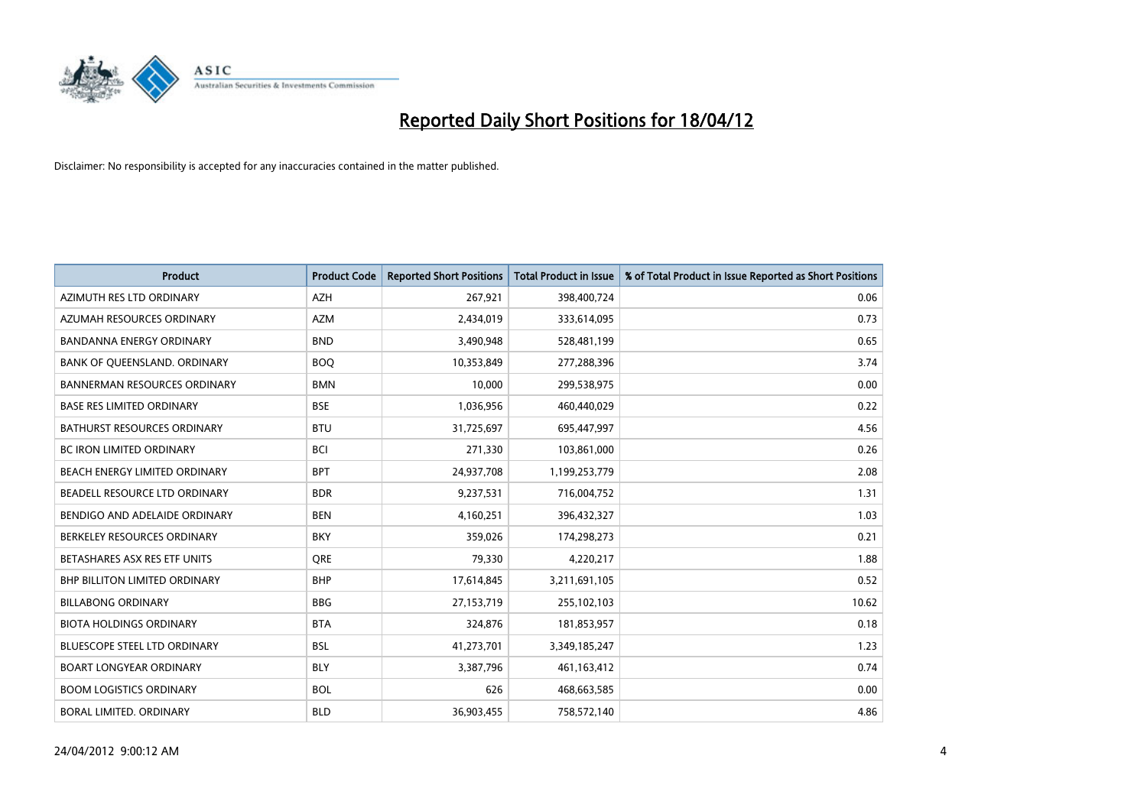

| <b>Product</b>                       | <b>Product Code</b> | <b>Reported Short Positions</b> | <b>Total Product in Issue</b> | % of Total Product in Issue Reported as Short Positions |
|--------------------------------------|---------------------|---------------------------------|-------------------------------|---------------------------------------------------------|
| AZIMUTH RES LTD ORDINARY             | <b>AZH</b>          | 267,921                         | 398,400,724                   | 0.06                                                    |
| AZUMAH RESOURCES ORDINARY            | AZM                 | 2,434,019                       | 333,614,095                   | 0.73                                                    |
| <b>BANDANNA ENERGY ORDINARY</b>      | <b>BND</b>          | 3,490,948                       | 528,481,199                   | 0.65                                                    |
| BANK OF QUEENSLAND. ORDINARY         | <b>BOQ</b>          | 10,353,849                      | 277,288,396                   | 3.74                                                    |
| <b>BANNERMAN RESOURCES ORDINARY</b>  | <b>BMN</b>          | 10,000                          | 299,538,975                   | 0.00                                                    |
| <b>BASE RES LIMITED ORDINARY</b>     | <b>BSE</b>          | 1,036,956                       | 460,440,029                   | 0.22                                                    |
| <b>BATHURST RESOURCES ORDINARY</b>   | <b>BTU</b>          | 31,725,697                      | 695,447,997                   | 4.56                                                    |
| <b>BC IRON LIMITED ORDINARY</b>      | <b>BCI</b>          | 271,330                         | 103,861,000                   | 0.26                                                    |
| BEACH ENERGY LIMITED ORDINARY        | <b>BPT</b>          | 24,937,708                      | 1,199,253,779                 | 2.08                                                    |
| BEADELL RESOURCE LTD ORDINARY        | <b>BDR</b>          | 9,237,531                       | 716,004,752                   | 1.31                                                    |
| BENDIGO AND ADELAIDE ORDINARY        | <b>BEN</b>          | 4,160,251                       | 396,432,327                   | 1.03                                                    |
| BERKELEY RESOURCES ORDINARY          | <b>BKY</b>          | 359,026                         | 174,298,273                   | 0.21                                                    |
| BETASHARES ASX RES ETF UNITS         | <b>ORE</b>          | 79,330                          | 4,220,217                     | 1.88                                                    |
| <b>BHP BILLITON LIMITED ORDINARY</b> | <b>BHP</b>          | 17,614,845                      | 3,211,691,105                 | 0.52                                                    |
| <b>BILLABONG ORDINARY</b>            | <b>BBG</b>          | 27,153,719                      | 255,102,103                   | 10.62                                                   |
| <b>BIOTA HOLDINGS ORDINARY</b>       | <b>BTA</b>          | 324,876                         | 181,853,957                   | 0.18                                                    |
| BLUESCOPE STEEL LTD ORDINARY         | <b>BSL</b>          | 41,273,701                      | 3,349,185,247                 | 1.23                                                    |
| <b>BOART LONGYEAR ORDINARY</b>       | <b>BLY</b>          | 3,387,796                       | 461,163,412                   | 0.74                                                    |
| <b>BOOM LOGISTICS ORDINARY</b>       | <b>BOL</b>          | 626                             | 468,663,585                   | 0.00                                                    |
| BORAL LIMITED. ORDINARY              | <b>BLD</b>          | 36,903,455                      | 758,572,140                   | 4.86                                                    |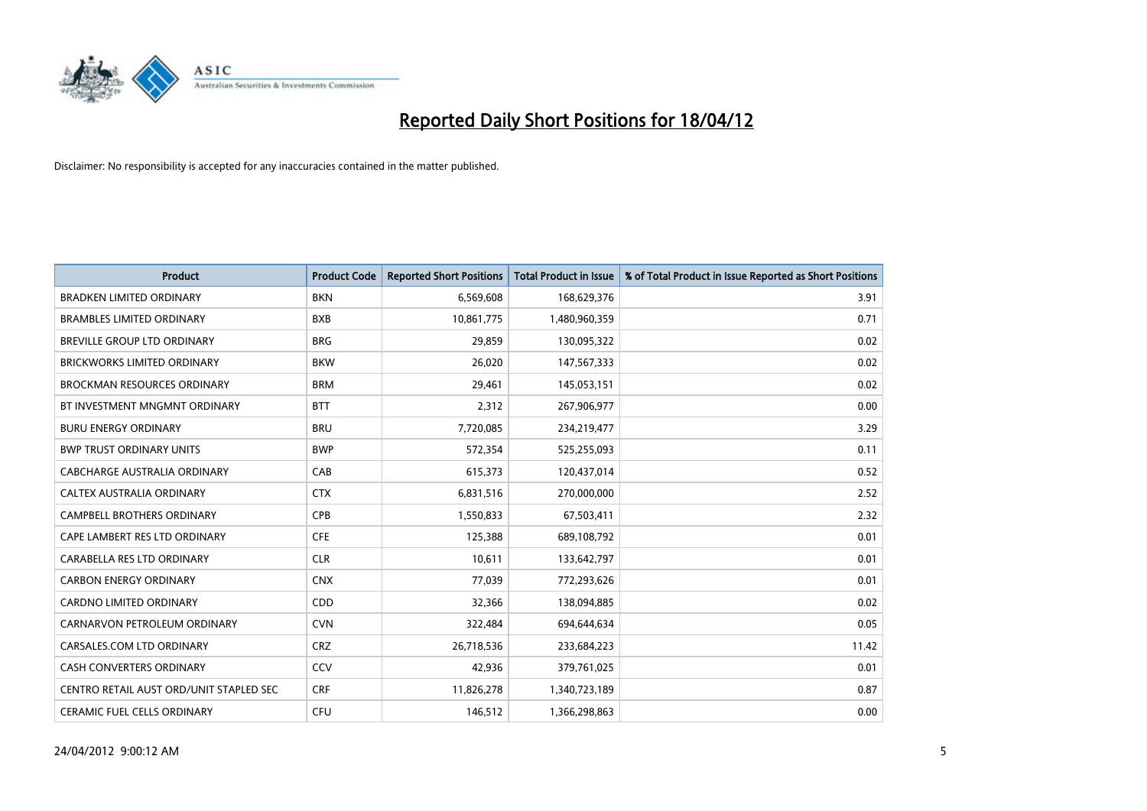

| <b>Product</b>                          | <b>Product Code</b> | <b>Reported Short Positions</b> | <b>Total Product in Issue</b> | % of Total Product in Issue Reported as Short Positions |
|-----------------------------------------|---------------------|---------------------------------|-------------------------------|---------------------------------------------------------|
| <b>BRADKEN LIMITED ORDINARY</b>         | <b>BKN</b>          | 6,569,608                       | 168,629,376                   | 3.91                                                    |
| <b>BRAMBLES LIMITED ORDINARY</b>        | <b>BXB</b>          | 10,861,775                      | 1,480,960,359                 | 0.71                                                    |
| BREVILLE GROUP LTD ORDINARY             | <b>BRG</b>          | 29,859                          | 130,095,322                   | 0.02                                                    |
| BRICKWORKS LIMITED ORDINARY             | <b>BKW</b>          | 26,020                          | 147,567,333                   | 0.02                                                    |
| <b>BROCKMAN RESOURCES ORDINARY</b>      | <b>BRM</b>          | 29,461                          | 145,053,151                   | 0.02                                                    |
| BT INVESTMENT MNGMNT ORDINARY           | <b>BTT</b>          | 2,312                           | 267,906,977                   | 0.00                                                    |
| <b>BURU ENERGY ORDINARY</b>             | <b>BRU</b>          | 7,720,085                       | 234,219,477                   | 3.29                                                    |
| <b>BWP TRUST ORDINARY UNITS</b>         | <b>BWP</b>          | 572,354                         | 525,255,093                   | 0.11                                                    |
| CABCHARGE AUSTRALIA ORDINARY            | CAB                 | 615,373                         | 120,437,014                   | 0.52                                                    |
| CALTEX AUSTRALIA ORDINARY               | <b>CTX</b>          | 6,831,516                       | 270,000,000                   | 2.52                                                    |
| CAMPBELL BROTHERS ORDINARY              | <b>CPB</b>          | 1,550,833                       | 67,503,411                    | 2.32                                                    |
| CAPE LAMBERT RES LTD ORDINARY           | <b>CFE</b>          | 125,388                         | 689,108,792                   | 0.01                                                    |
| CARABELLA RES LTD ORDINARY              | <b>CLR</b>          | 10,611                          | 133,642,797                   | 0.01                                                    |
| <b>CARBON ENERGY ORDINARY</b>           | <b>CNX</b>          | 77,039                          | 772,293,626                   | 0.01                                                    |
| <b>CARDNO LIMITED ORDINARY</b>          | CDD                 | 32,366                          | 138,094,885                   | 0.02                                                    |
| CARNARVON PETROLEUM ORDINARY            | <b>CVN</b>          | 322,484                         | 694,644,634                   | 0.05                                                    |
| CARSALES.COM LTD ORDINARY               | <b>CRZ</b>          | 26,718,536                      | 233,684,223                   | 11.42                                                   |
| <b>CASH CONVERTERS ORDINARY</b>         | CCV                 | 42,936                          | 379,761,025                   | 0.01                                                    |
| CENTRO RETAIL AUST ORD/UNIT STAPLED SEC | <b>CRF</b>          | 11,826,278                      | 1,340,723,189                 | 0.87                                                    |
| <b>CERAMIC FUEL CELLS ORDINARY</b>      | <b>CFU</b>          | 146,512                         | 1,366,298,863                 | 0.00                                                    |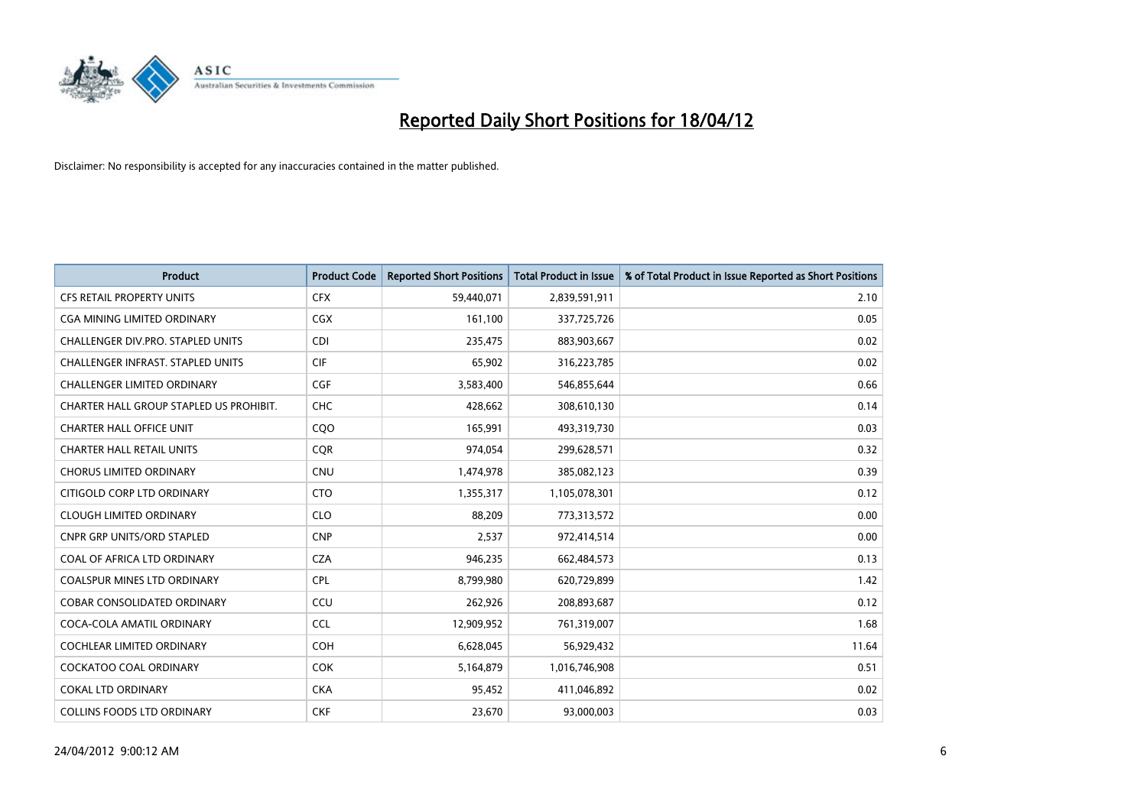

| <b>Product</b>                          | <b>Product Code</b> | <b>Reported Short Positions</b> | <b>Total Product in Issue</b> | % of Total Product in Issue Reported as Short Positions |
|-----------------------------------------|---------------------|---------------------------------|-------------------------------|---------------------------------------------------------|
| <b>CFS RETAIL PROPERTY UNITS</b>        | <b>CFX</b>          | 59,440,071                      | 2,839,591,911                 | 2.10                                                    |
| <b>CGA MINING LIMITED ORDINARY</b>      | CGX                 | 161,100                         | 337,725,726                   | 0.05                                                    |
| CHALLENGER DIV.PRO. STAPLED UNITS       | <b>CDI</b>          | 235,475                         | 883,903,667                   | 0.02                                                    |
| CHALLENGER INFRAST. STAPLED UNITS       | <b>CIF</b>          | 65,902                          | 316,223,785                   | 0.02                                                    |
| <b>CHALLENGER LIMITED ORDINARY</b>      | <b>CGF</b>          | 3,583,400                       | 546,855,644                   | 0.66                                                    |
| CHARTER HALL GROUP STAPLED US PROHIBIT. | CHC                 | 428,662                         | 308,610,130                   | 0.14                                                    |
| <b>CHARTER HALL OFFICE UNIT</b>         | CQ <sub>O</sub>     | 165,991                         | 493,319,730                   | 0.03                                                    |
| <b>CHARTER HALL RETAIL UNITS</b>        | <b>COR</b>          | 974,054                         | 299,628,571                   | 0.32                                                    |
| <b>CHORUS LIMITED ORDINARY</b>          | <b>CNU</b>          | 1,474,978                       | 385,082,123                   | 0.39                                                    |
| CITIGOLD CORP LTD ORDINARY              | <b>CTO</b>          | 1,355,317                       | 1,105,078,301                 | 0.12                                                    |
| <b>CLOUGH LIMITED ORDINARY</b>          | <b>CLO</b>          | 88,209                          | 773,313,572                   | 0.00                                                    |
| <b>CNPR GRP UNITS/ORD STAPLED</b>       | <b>CNP</b>          | 2,537                           | 972,414,514                   | 0.00                                                    |
| COAL OF AFRICA LTD ORDINARY             | <b>CZA</b>          | 946.235                         | 662,484,573                   | 0.13                                                    |
| <b>COALSPUR MINES LTD ORDINARY</b>      | <b>CPL</b>          | 8,799,980                       | 620,729,899                   | 1.42                                                    |
| COBAR CONSOLIDATED ORDINARY             | CCU                 | 262,926                         | 208,893,687                   | 0.12                                                    |
| COCA-COLA AMATIL ORDINARY               | <b>CCL</b>          | 12,909,952                      | 761,319,007                   | 1.68                                                    |
| <b>COCHLEAR LIMITED ORDINARY</b>        | <b>COH</b>          | 6,628,045                       | 56,929,432                    | 11.64                                                   |
| COCKATOO COAL ORDINARY                  | <b>COK</b>          | 5,164,879                       | 1,016,746,908                 | 0.51                                                    |
| <b>COKAL LTD ORDINARY</b>               | <b>CKA</b>          | 95,452                          | 411,046,892                   | 0.02                                                    |
| <b>COLLINS FOODS LTD ORDINARY</b>       | <b>CKF</b>          | 23,670                          | 93,000,003                    | 0.03                                                    |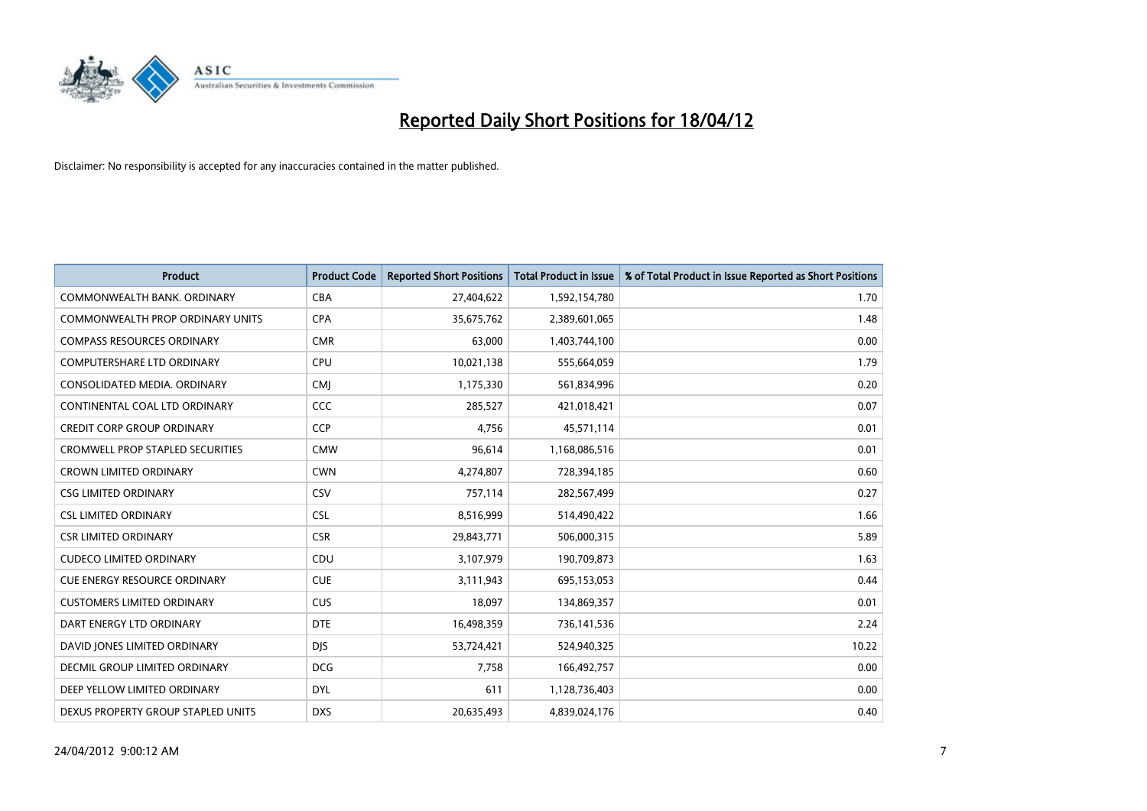

| <b>Product</b>                          | <b>Product Code</b> | <b>Reported Short Positions</b> | <b>Total Product in Issue</b> | % of Total Product in Issue Reported as Short Positions |
|-----------------------------------------|---------------------|---------------------------------|-------------------------------|---------------------------------------------------------|
| COMMONWEALTH BANK, ORDINARY             | <b>CBA</b>          | 27,404,622                      | 1,592,154,780                 | 1.70                                                    |
| COMMONWEALTH PROP ORDINARY UNITS        | <b>CPA</b>          | 35,675,762                      | 2,389,601,065                 | 1.48                                                    |
| <b>COMPASS RESOURCES ORDINARY</b>       | <b>CMR</b>          | 63,000                          | 1,403,744,100                 | 0.00                                                    |
| COMPUTERSHARE LTD ORDINARY              | <b>CPU</b>          | 10,021,138                      | 555,664,059                   | 1.79                                                    |
| CONSOLIDATED MEDIA, ORDINARY            | <b>CMI</b>          | 1,175,330                       | 561,834,996                   | 0.20                                                    |
| CONTINENTAL COAL LTD ORDINARY           | CCC                 | 285,527                         | 421,018,421                   | 0.07                                                    |
| <b>CREDIT CORP GROUP ORDINARY</b>       | <b>CCP</b>          | 4,756                           | 45,571,114                    | 0.01                                                    |
| <b>CROMWELL PROP STAPLED SECURITIES</b> | <b>CMW</b>          | 96,614                          | 1,168,086,516                 | 0.01                                                    |
| <b>CROWN LIMITED ORDINARY</b>           | <b>CWN</b>          | 4,274,807                       | 728,394,185                   | 0.60                                                    |
| <b>CSG LIMITED ORDINARY</b>             | CSV                 | 757,114                         | 282,567,499                   | 0.27                                                    |
| <b>CSL LIMITED ORDINARY</b>             | <b>CSL</b>          | 8,516,999                       | 514,490,422                   | 1.66                                                    |
| <b>CSR LIMITED ORDINARY</b>             | <b>CSR</b>          | 29,843,771                      | 506,000,315                   | 5.89                                                    |
| <b>CUDECO LIMITED ORDINARY</b>          | CDU                 | 3,107,979                       | 190,709,873                   | 1.63                                                    |
| <b>CUE ENERGY RESOURCE ORDINARY</b>     | <b>CUE</b>          | 3,111,943                       | 695,153,053                   | 0.44                                                    |
| <b>CUSTOMERS LIMITED ORDINARY</b>       | <b>CUS</b>          | 18,097                          | 134,869,357                   | 0.01                                                    |
| DART ENERGY LTD ORDINARY                | <b>DTE</b>          | 16,498,359                      | 736,141,536                   | 2.24                                                    |
| DAVID JONES LIMITED ORDINARY            | <b>DJS</b>          | 53,724,421                      | 524,940,325                   | 10.22                                                   |
| <b>DECMIL GROUP LIMITED ORDINARY</b>    | <b>DCG</b>          | 7,758                           | 166,492,757                   | 0.00                                                    |
| DEEP YELLOW LIMITED ORDINARY            | <b>DYL</b>          | 611                             | 1,128,736,403                 | 0.00                                                    |
| DEXUS PROPERTY GROUP STAPLED UNITS      | <b>DXS</b>          | 20,635,493                      | 4,839,024,176                 | 0.40                                                    |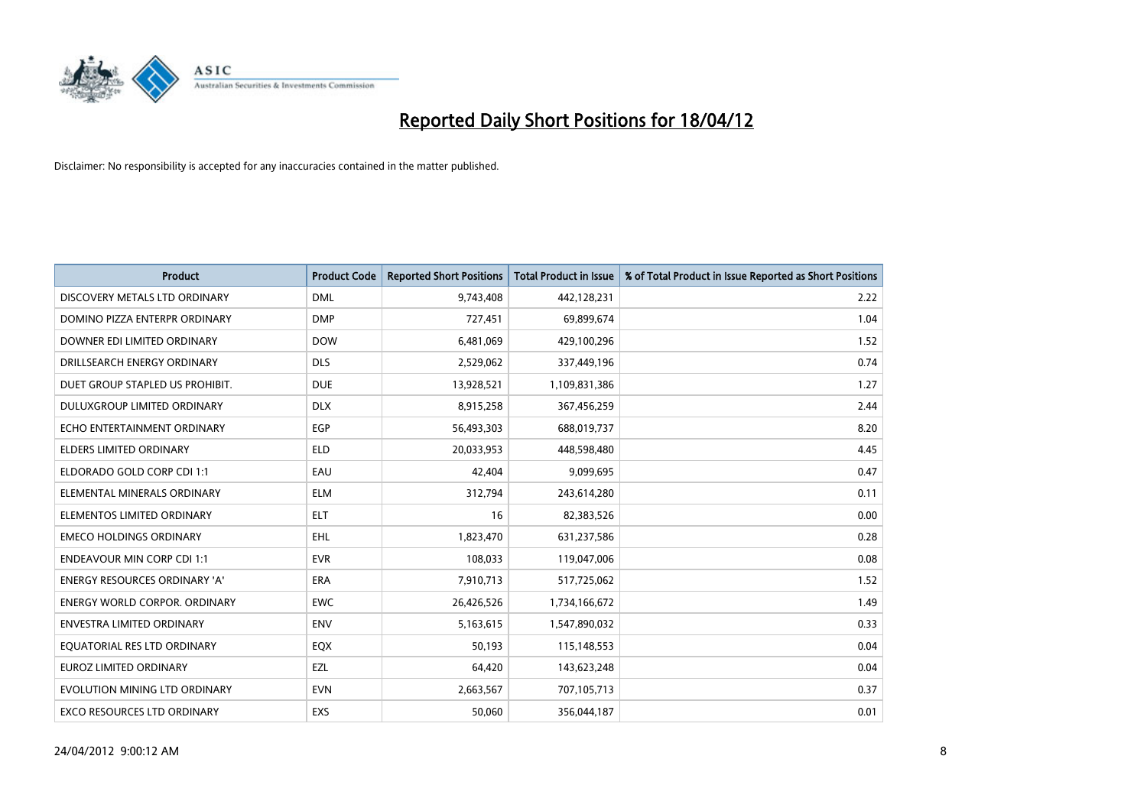

| <b>Product</b>                       | <b>Product Code</b> | <b>Reported Short Positions</b> | <b>Total Product in Issue</b> | % of Total Product in Issue Reported as Short Positions |
|--------------------------------------|---------------------|---------------------------------|-------------------------------|---------------------------------------------------------|
| DISCOVERY METALS LTD ORDINARY        | <b>DML</b>          | 9,743,408                       | 442,128,231                   | 2.22                                                    |
| DOMINO PIZZA ENTERPR ORDINARY        | <b>DMP</b>          | 727,451                         | 69,899,674                    | 1.04                                                    |
| DOWNER EDI LIMITED ORDINARY          | <b>DOW</b>          | 6,481,069                       | 429,100,296                   | 1.52                                                    |
| DRILLSEARCH ENERGY ORDINARY          | <b>DLS</b>          | 2,529,062                       | 337,449,196                   | 0.74                                                    |
| DUET GROUP STAPLED US PROHIBIT.      | <b>DUE</b>          | 13,928,521                      | 1,109,831,386                 | 1.27                                                    |
| DULUXGROUP LIMITED ORDINARY          | <b>DLX</b>          | 8,915,258                       | 367,456,259                   | 2.44                                                    |
| ECHO ENTERTAINMENT ORDINARY          | <b>EGP</b>          | 56,493,303                      | 688,019,737                   | 8.20                                                    |
| <b>ELDERS LIMITED ORDINARY</b>       | <b>ELD</b>          | 20,033,953                      | 448,598,480                   | 4.45                                                    |
| ELDORADO GOLD CORP CDI 1:1           | EAU                 | 42,404                          | 9,099,695                     | 0.47                                                    |
| ELEMENTAL MINERALS ORDINARY          | ELM                 | 312,794                         | 243,614,280                   | 0.11                                                    |
| ELEMENTOS LIMITED ORDINARY           | ELT.                | 16                              | 82,383,526                    | 0.00                                                    |
| <b>EMECO HOLDINGS ORDINARY</b>       | EHL                 | 1,823,470                       | 631,237,586                   | 0.28                                                    |
| <b>ENDEAVOUR MIN CORP CDI 1:1</b>    | <b>EVR</b>          | 108,033                         | 119,047,006                   | 0.08                                                    |
| <b>ENERGY RESOURCES ORDINARY 'A'</b> | <b>ERA</b>          | 7,910,713                       | 517,725,062                   | 1.52                                                    |
| <b>ENERGY WORLD CORPOR, ORDINARY</b> | <b>EWC</b>          | 26,426,526                      | 1,734,166,672                 | 1.49                                                    |
| <b>ENVESTRA LIMITED ORDINARY</b>     | <b>ENV</b>          | 5,163,615                       | 1,547,890,032                 | 0.33                                                    |
| EQUATORIAL RES LTD ORDINARY          | EQX                 | 50,193                          | 115,148,553                   | 0.04                                                    |
| <b>EUROZ LIMITED ORDINARY</b>        | EZL                 | 64,420                          | 143,623,248                   | 0.04                                                    |
| EVOLUTION MINING LTD ORDINARY        | <b>EVN</b>          | 2,663,567                       | 707,105,713                   | 0.37                                                    |
| <b>EXCO RESOURCES LTD ORDINARY</b>   | <b>EXS</b>          | 50,060                          | 356,044,187                   | 0.01                                                    |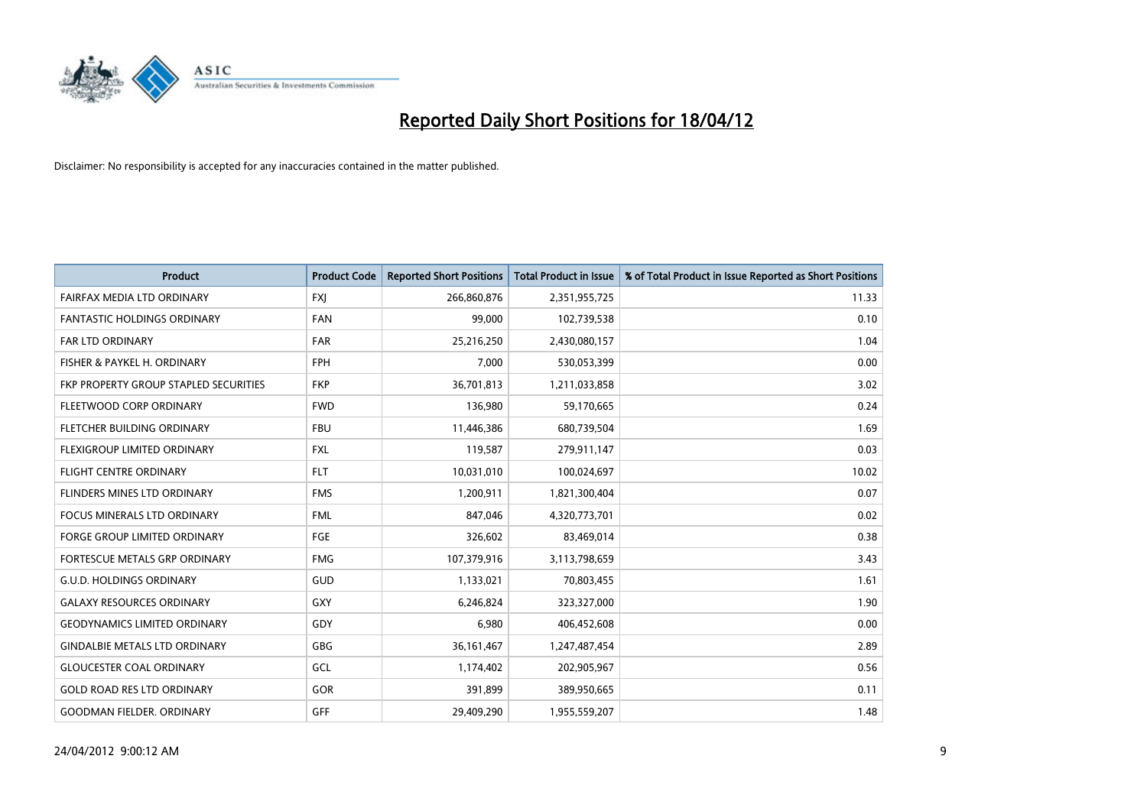

| <b>Product</b>                        | <b>Product Code</b> | <b>Reported Short Positions</b> | <b>Total Product in Issue</b> | % of Total Product in Issue Reported as Short Positions |
|---------------------------------------|---------------------|---------------------------------|-------------------------------|---------------------------------------------------------|
| FAIRFAX MEDIA LTD ORDINARY            | <b>FXJ</b>          | 266,860,876                     | 2,351,955,725                 | 11.33                                                   |
| <b>FANTASTIC HOLDINGS ORDINARY</b>    | FAN                 | 99,000                          | 102,739,538                   | 0.10                                                    |
| <b>FAR LTD ORDINARY</b>               | <b>FAR</b>          | 25,216,250                      | 2,430,080,157                 | 1.04                                                    |
| FISHER & PAYKEL H. ORDINARY           | <b>FPH</b>          | 7,000                           | 530,053,399                   | 0.00                                                    |
| FKP PROPERTY GROUP STAPLED SECURITIES | <b>FKP</b>          | 36,701,813                      | 1,211,033,858                 | 3.02                                                    |
| FLEETWOOD CORP ORDINARY               | <b>FWD</b>          | 136,980                         | 59,170,665                    | 0.24                                                    |
| FLETCHER BUILDING ORDINARY            | <b>FBU</b>          | 11,446,386                      | 680,739,504                   | 1.69                                                    |
| FLEXIGROUP LIMITED ORDINARY           | <b>FXL</b>          | 119,587                         | 279,911,147                   | 0.03                                                    |
| FLIGHT CENTRE ORDINARY                | <b>FLT</b>          | 10,031,010                      | 100,024,697                   | 10.02                                                   |
| FLINDERS MINES LTD ORDINARY           | <b>FMS</b>          | 1,200,911                       | 1,821,300,404                 | 0.07                                                    |
| FOCUS MINERALS LTD ORDINARY           | <b>FML</b>          | 847,046                         | 4,320,773,701                 | 0.02                                                    |
| <b>FORGE GROUP LIMITED ORDINARY</b>   | FGE                 | 326,602                         | 83,469,014                    | 0.38                                                    |
| FORTESCUE METALS GRP ORDINARY         | <b>FMG</b>          | 107,379,916                     | 3,113,798,659                 | 3.43                                                    |
| <b>G.U.D. HOLDINGS ORDINARY</b>       | GUD                 | 1,133,021                       | 70,803,455                    | 1.61                                                    |
| <b>GALAXY RESOURCES ORDINARY</b>      | <b>GXY</b>          | 6,246,824                       | 323,327,000                   | 1.90                                                    |
| <b>GEODYNAMICS LIMITED ORDINARY</b>   | GDY                 | 6,980                           | 406,452,608                   | 0.00                                                    |
| <b>GINDALBIE METALS LTD ORDINARY</b>  | GBG                 | 36, 161, 467                    | 1,247,487,454                 | 2.89                                                    |
| <b>GLOUCESTER COAL ORDINARY</b>       | GCL                 | 1,174,402                       | 202,905,967                   | 0.56                                                    |
| <b>GOLD ROAD RES LTD ORDINARY</b>     | GOR                 | 391,899                         | 389,950,665                   | 0.11                                                    |
| <b>GOODMAN FIELDER. ORDINARY</b>      | GFF                 | 29,409,290                      | 1,955,559,207                 | 1.48                                                    |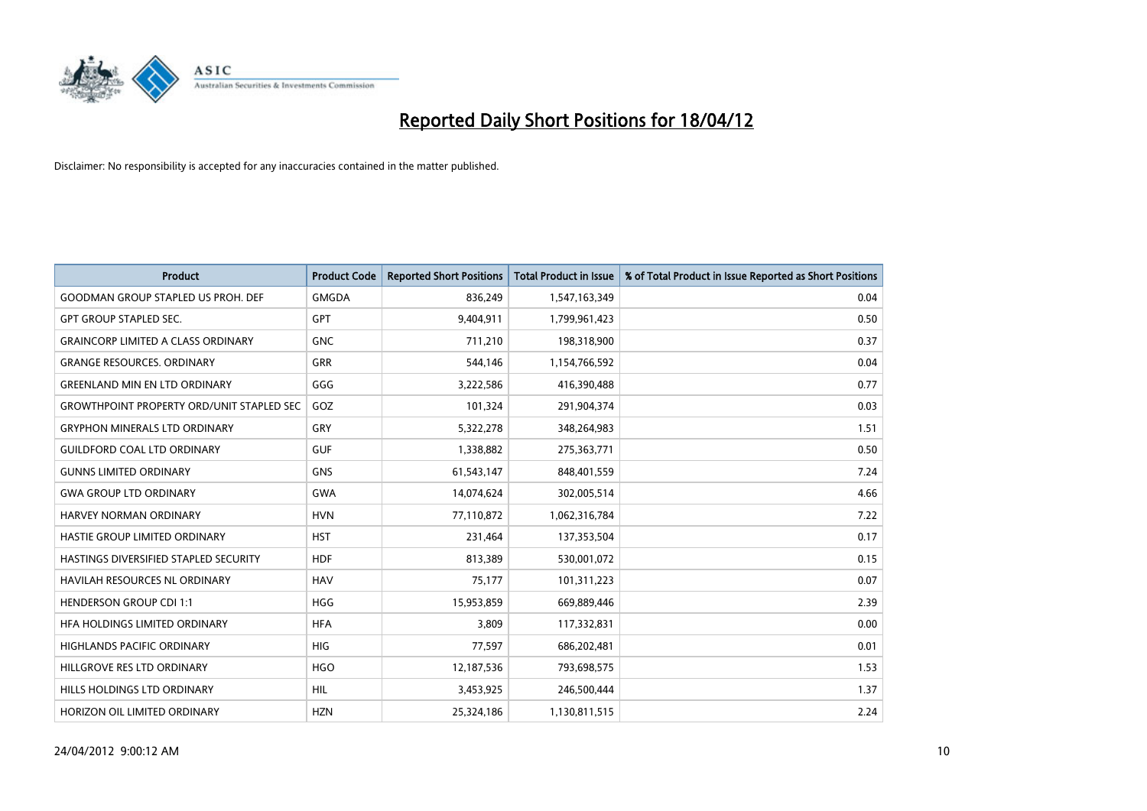

| <b>Product</b>                                   | <b>Product Code</b> | <b>Reported Short Positions</b> | <b>Total Product in Issue</b> | % of Total Product in Issue Reported as Short Positions |
|--------------------------------------------------|---------------------|---------------------------------|-------------------------------|---------------------------------------------------------|
| <b>GOODMAN GROUP STAPLED US PROH. DEF</b>        | <b>GMGDA</b>        | 836,249                         | 1,547,163,349                 | 0.04                                                    |
| <b>GPT GROUP STAPLED SEC.</b>                    | <b>GPT</b>          | 9,404,911                       | 1,799,961,423                 | 0.50                                                    |
| <b>GRAINCORP LIMITED A CLASS ORDINARY</b>        | <b>GNC</b>          | 711,210                         | 198,318,900                   | 0.37                                                    |
| <b>GRANGE RESOURCES. ORDINARY</b>                | <b>GRR</b>          | 544,146                         | 1,154,766,592                 | 0.04                                                    |
| <b>GREENLAND MIN EN LTD ORDINARY</b>             | GGG                 | 3,222,586                       | 416,390,488                   | 0.77                                                    |
| <b>GROWTHPOINT PROPERTY ORD/UNIT STAPLED SEC</b> | GOZ                 | 101,324                         | 291,904,374                   | 0.03                                                    |
| <b>GRYPHON MINERALS LTD ORDINARY</b>             | GRY                 | 5,322,278                       | 348,264,983                   | 1.51                                                    |
| <b>GUILDFORD COAL LTD ORDINARY</b>               | <b>GUF</b>          | 1,338,882                       | 275,363,771                   | 0.50                                                    |
| <b>GUNNS LIMITED ORDINARY</b>                    | <b>GNS</b>          | 61,543,147                      | 848,401,559                   | 7.24                                                    |
| <b>GWA GROUP LTD ORDINARY</b>                    | <b>GWA</b>          | 14,074,624                      | 302,005,514                   | 4.66                                                    |
| <b>HARVEY NORMAN ORDINARY</b>                    | <b>HVN</b>          | 77,110,872                      | 1,062,316,784                 | 7.22                                                    |
| HASTIE GROUP LIMITED ORDINARY                    | <b>HST</b>          | 231,464                         | 137,353,504                   | 0.17                                                    |
| HASTINGS DIVERSIFIED STAPLED SECURITY            | <b>HDF</b>          | 813,389                         | 530,001,072                   | 0.15                                                    |
| <b>HAVILAH RESOURCES NL ORDINARY</b>             | <b>HAV</b>          | 75,177                          | 101,311,223                   | 0.07                                                    |
| <b>HENDERSON GROUP CDI 1:1</b>                   | <b>HGG</b>          | 15,953,859                      | 669,889,446                   | 2.39                                                    |
| HFA HOLDINGS LIMITED ORDINARY                    | <b>HFA</b>          | 3,809                           | 117,332,831                   | 0.00                                                    |
| <b>HIGHLANDS PACIFIC ORDINARY</b>                | <b>HIG</b>          | 77,597                          | 686,202,481                   | 0.01                                                    |
| HILLGROVE RES LTD ORDINARY                       | <b>HGO</b>          | 12,187,536                      | 793,698,575                   | 1.53                                                    |
| HILLS HOLDINGS LTD ORDINARY                      | <b>HIL</b>          | 3,453,925                       | 246,500,444                   | 1.37                                                    |
| HORIZON OIL LIMITED ORDINARY                     | <b>HZN</b>          | 25,324,186                      | 1,130,811,515                 | 2.24                                                    |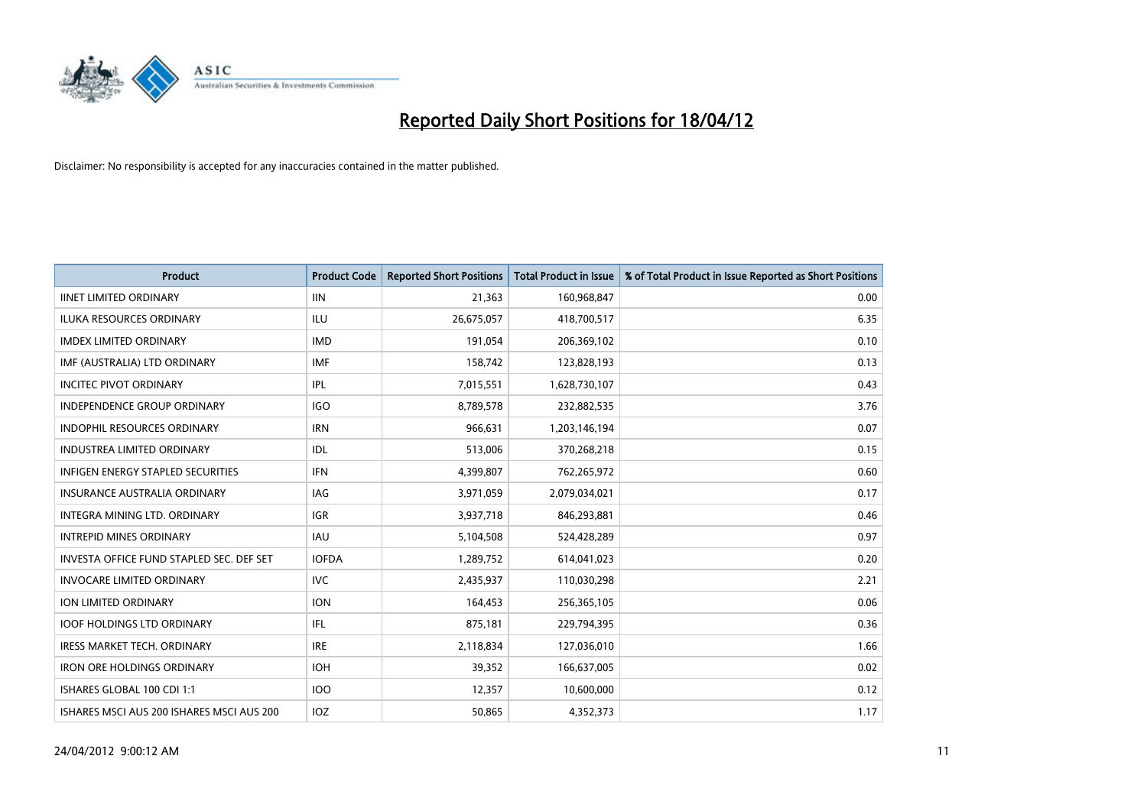

| <b>Product</b>                            | <b>Product Code</b> | <b>Reported Short Positions</b> | <b>Total Product in Issue</b> | % of Total Product in Issue Reported as Short Positions |
|-------------------------------------------|---------------------|---------------------------------|-------------------------------|---------------------------------------------------------|
| <b>IINET LIMITED ORDINARY</b>             | <b>IIN</b>          | 21,363                          | 160,968,847                   | 0.00                                                    |
| ILUKA RESOURCES ORDINARY                  | ILU                 | 26,675,057                      | 418,700,517                   | 6.35                                                    |
| <b>IMDEX LIMITED ORDINARY</b>             | <b>IMD</b>          | 191,054                         | 206,369,102                   | 0.10                                                    |
| IMF (AUSTRALIA) LTD ORDINARY              | <b>IMF</b>          | 158,742                         | 123,828,193                   | 0.13                                                    |
| <b>INCITEC PIVOT ORDINARY</b>             | IPL                 | 7,015,551                       | 1,628,730,107                 | 0.43                                                    |
| INDEPENDENCE GROUP ORDINARY               | <b>IGO</b>          | 8,789,578                       | 232,882,535                   | 3.76                                                    |
| <b>INDOPHIL RESOURCES ORDINARY</b>        | <b>IRN</b>          | 966,631                         | 1,203,146,194                 | 0.07                                                    |
| <b>INDUSTREA LIMITED ORDINARY</b>         | IDL                 | 513,006                         | 370,268,218                   | 0.15                                                    |
| INFIGEN ENERGY STAPLED SECURITIES         | <b>IFN</b>          | 4,399,807                       | 762,265,972                   | 0.60                                                    |
| INSURANCE AUSTRALIA ORDINARY              | <b>IAG</b>          | 3,971,059                       | 2,079,034,021                 | 0.17                                                    |
| INTEGRA MINING LTD. ORDINARY              | <b>IGR</b>          | 3,937,718                       | 846,293,881                   | 0.46                                                    |
| <b>INTREPID MINES ORDINARY</b>            | <b>IAU</b>          | 5,104,508                       | 524,428,289                   | 0.97                                                    |
| INVESTA OFFICE FUND STAPLED SEC. DEF SET  | <b>IOFDA</b>        | 1,289,752                       | 614,041,023                   | 0.20                                                    |
| <b>INVOCARE LIMITED ORDINARY</b>          | <b>IVC</b>          | 2,435,937                       | 110,030,298                   | 2.21                                                    |
| ION LIMITED ORDINARY                      | <b>ION</b>          | 164,453                         | 256,365,105                   | 0.06                                                    |
| <b>IOOF HOLDINGS LTD ORDINARY</b>         | IFL                 | 875,181                         | 229,794,395                   | 0.36                                                    |
| <b>IRESS MARKET TECH. ORDINARY</b>        | <b>IRE</b>          | 2,118,834                       | 127,036,010                   | 1.66                                                    |
| <b>IRON ORE HOLDINGS ORDINARY</b>         | <b>IOH</b>          | 39,352                          | 166,637,005                   | 0.02                                                    |
| ISHARES GLOBAL 100 CDI 1:1                | 100                 | 12,357                          | 10,600,000                    | 0.12                                                    |
| ISHARES MSCI AUS 200 ISHARES MSCI AUS 200 | <b>IOZ</b>          | 50,865                          | 4,352,373                     | 1.17                                                    |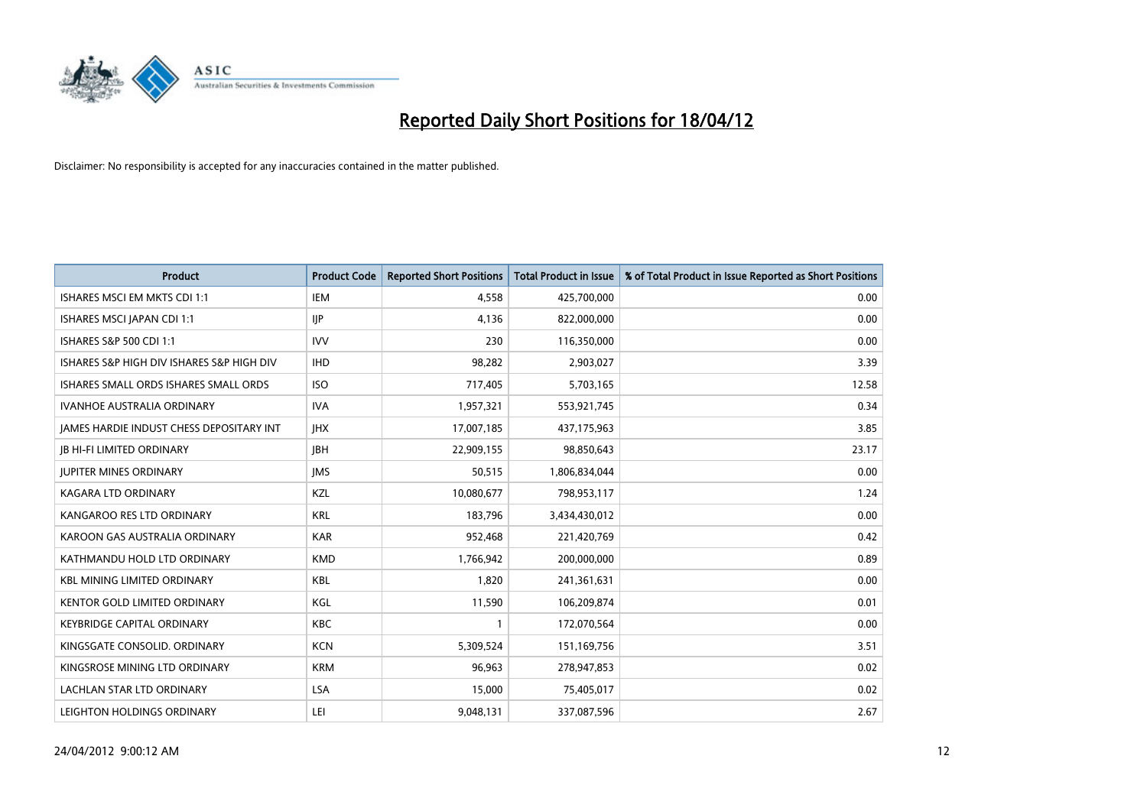

| <b>Product</b>                            | <b>Product Code</b> | <b>Reported Short Positions</b> | <b>Total Product in Issue</b> | % of Total Product in Issue Reported as Short Positions |
|-------------------------------------------|---------------------|---------------------------------|-------------------------------|---------------------------------------------------------|
| ISHARES MSCI EM MKTS CDI 1:1              | <b>IEM</b>          | 4.558                           | 425,700,000                   | 0.00                                                    |
| ISHARES MSCI JAPAN CDI 1:1                | <b>IIP</b>          | 4,136                           | 822,000,000                   | 0.00                                                    |
| ISHARES S&P 500 CDI 1:1                   | <b>IVV</b>          | 230                             | 116,350,000                   | 0.00                                                    |
| ISHARES S&P HIGH DIV ISHARES S&P HIGH DIV | <b>IHD</b>          | 98,282                          | 2,903,027                     | 3.39                                                    |
| ISHARES SMALL ORDS ISHARES SMALL ORDS     | <b>ISO</b>          | 717,405                         | 5,703,165                     | 12.58                                                   |
| <b>IVANHOE AUSTRALIA ORDINARY</b>         | <b>IVA</b>          | 1,957,321                       | 553,921,745                   | 0.34                                                    |
| JAMES HARDIE INDUST CHESS DEPOSITARY INT  | <b>JHX</b>          | 17,007,185                      | 437,175,963                   | 3.85                                                    |
| <b>JB HI-FI LIMITED ORDINARY</b>          | <b>JBH</b>          | 22,909,155                      | 98,850,643                    | 23.17                                                   |
| <b>JUPITER MINES ORDINARY</b>             | <b>IMS</b>          | 50,515                          | 1,806,834,044                 | 0.00                                                    |
| <b>KAGARA LTD ORDINARY</b>                | KZL                 | 10,080,677                      | 798,953,117                   | 1.24                                                    |
| KANGAROO RES LTD ORDINARY                 | <b>KRL</b>          | 183,796                         | 3,434,430,012                 | 0.00                                                    |
| KAROON GAS AUSTRALIA ORDINARY             | <b>KAR</b>          | 952,468                         | 221,420,769                   | 0.42                                                    |
| KATHMANDU HOLD LTD ORDINARY               | <b>KMD</b>          | 1,766,942                       | 200,000,000                   | 0.89                                                    |
| <b>KBL MINING LIMITED ORDINARY</b>        | KBL                 | 1,820                           | 241,361,631                   | 0.00                                                    |
| <b>KENTOR GOLD LIMITED ORDINARY</b>       | KGL                 | 11,590                          | 106,209,874                   | 0.01                                                    |
| <b>KEYBRIDGE CAPITAL ORDINARY</b>         | KBC                 | 1                               | 172,070,564                   | 0.00                                                    |
| KINGSGATE CONSOLID. ORDINARY              | <b>KCN</b>          | 5,309,524                       | 151,169,756                   | 3.51                                                    |
| KINGSROSE MINING LTD ORDINARY             | <b>KRM</b>          | 96,963                          | 278,947,853                   | 0.02                                                    |
| <b>LACHLAN STAR LTD ORDINARY</b>          | <b>LSA</b>          | 15,000                          | 75,405,017                    | 0.02                                                    |
| LEIGHTON HOLDINGS ORDINARY                | LEI                 | 9,048,131                       | 337,087,596                   | 2.67                                                    |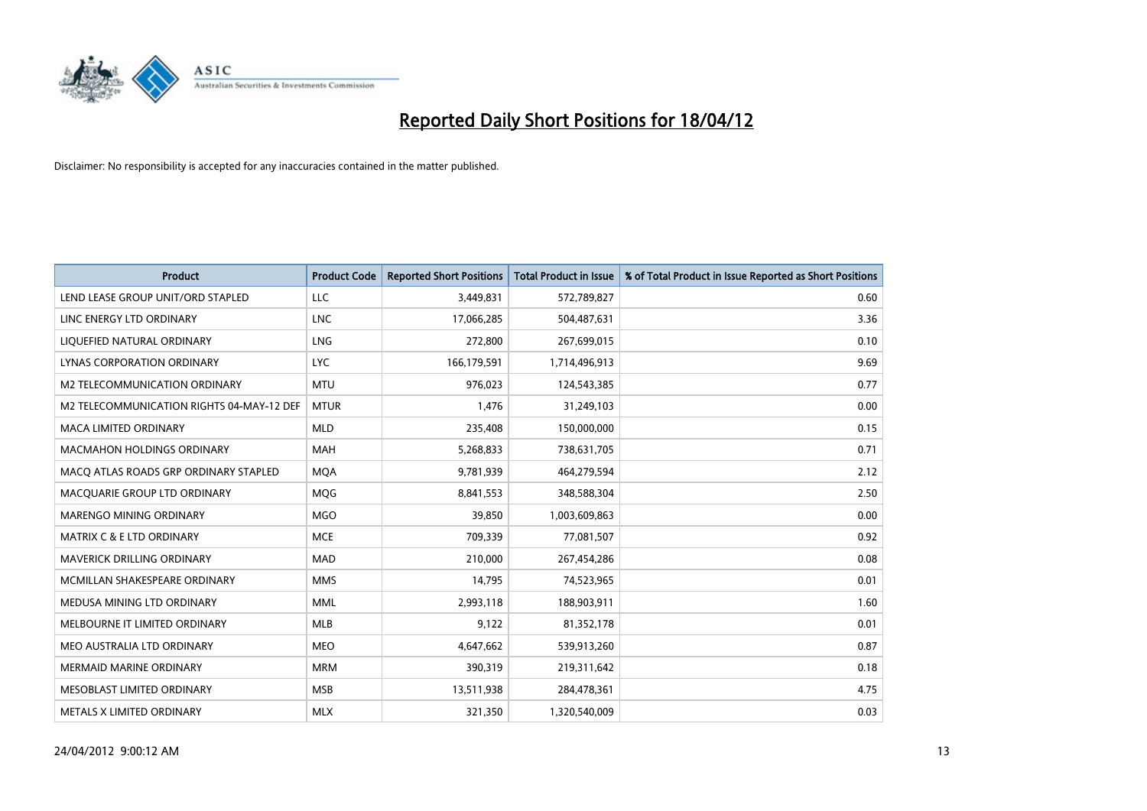

| <b>Product</b>                            | <b>Product Code</b> | <b>Reported Short Positions</b> | <b>Total Product in Issue</b> | % of Total Product in Issue Reported as Short Positions |
|-------------------------------------------|---------------------|---------------------------------|-------------------------------|---------------------------------------------------------|
| LEND LEASE GROUP UNIT/ORD STAPLED         | LLC                 | 3,449,831                       | 572,789,827                   | 0.60                                                    |
| LINC ENERGY LTD ORDINARY                  | <b>LNC</b>          | 17,066,285                      | 504,487,631                   | 3.36                                                    |
| LIQUEFIED NATURAL ORDINARY                | LNG                 | 272,800                         | 267,699,015                   | 0.10                                                    |
| LYNAS CORPORATION ORDINARY                | <b>LYC</b>          | 166,179,591                     | 1,714,496,913                 | 9.69                                                    |
| M2 TELECOMMUNICATION ORDINARY             | <b>MTU</b>          | 976,023                         | 124,543,385                   | 0.77                                                    |
| M2 TELECOMMUNICATION RIGHTS 04-MAY-12 DEF | <b>MTUR</b>         | 1,476                           | 31,249,103                    | 0.00                                                    |
| <b>MACA LIMITED ORDINARY</b>              | <b>MLD</b>          | 235,408                         | 150,000,000                   | 0.15                                                    |
| MACMAHON HOLDINGS ORDINARY                | MAH                 | 5,268,833                       | 738,631,705                   | 0.71                                                    |
| MACO ATLAS ROADS GRP ORDINARY STAPLED     | <b>MOA</b>          | 9,781,939                       | 464,279,594                   | 2.12                                                    |
| MACQUARIE GROUP LTD ORDINARY              | <b>MQG</b>          | 8,841,553                       | 348,588,304                   | 2.50                                                    |
| MARENGO MINING ORDINARY                   | <b>MGO</b>          | 39,850                          | 1,003,609,863                 | 0.00                                                    |
| <b>MATRIX C &amp; E LTD ORDINARY</b>      | <b>MCE</b>          | 709,339                         | 77,081,507                    | 0.92                                                    |
| MAVERICK DRILLING ORDINARY                | <b>MAD</b>          | 210,000                         | 267,454,286                   | 0.08                                                    |
| MCMILLAN SHAKESPEARE ORDINARY             | <b>MMS</b>          | 14,795                          | 74,523,965                    | 0.01                                                    |
| MEDUSA MINING LTD ORDINARY                | <b>MML</b>          | 2,993,118                       | 188,903,911                   | 1.60                                                    |
| MELBOURNE IT LIMITED ORDINARY             | <b>MLB</b>          | 9,122                           | 81,352,178                    | 0.01                                                    |
| MEO AUSTRALIA LTD ORDINARY                | MEO                 | 4,647,662                       | 539,913,260                   | 0.87                                                    |
| MERMAID MARINE ORDINARY                   | <b>MRM</b>          | 390,319                         | 219,311,642                   | 0.18                                                    |
| MESOBLAST LIMITED ORDINARY                | <b>MSB</b>          | 13,511,938                      | 284,478,361                   | 4.75                                                    |
| METALS X LIMITED ORDINARY                 | <b>MLX</b>          | 321,350                         | 1,320,540,009                 | 0.03                                                    |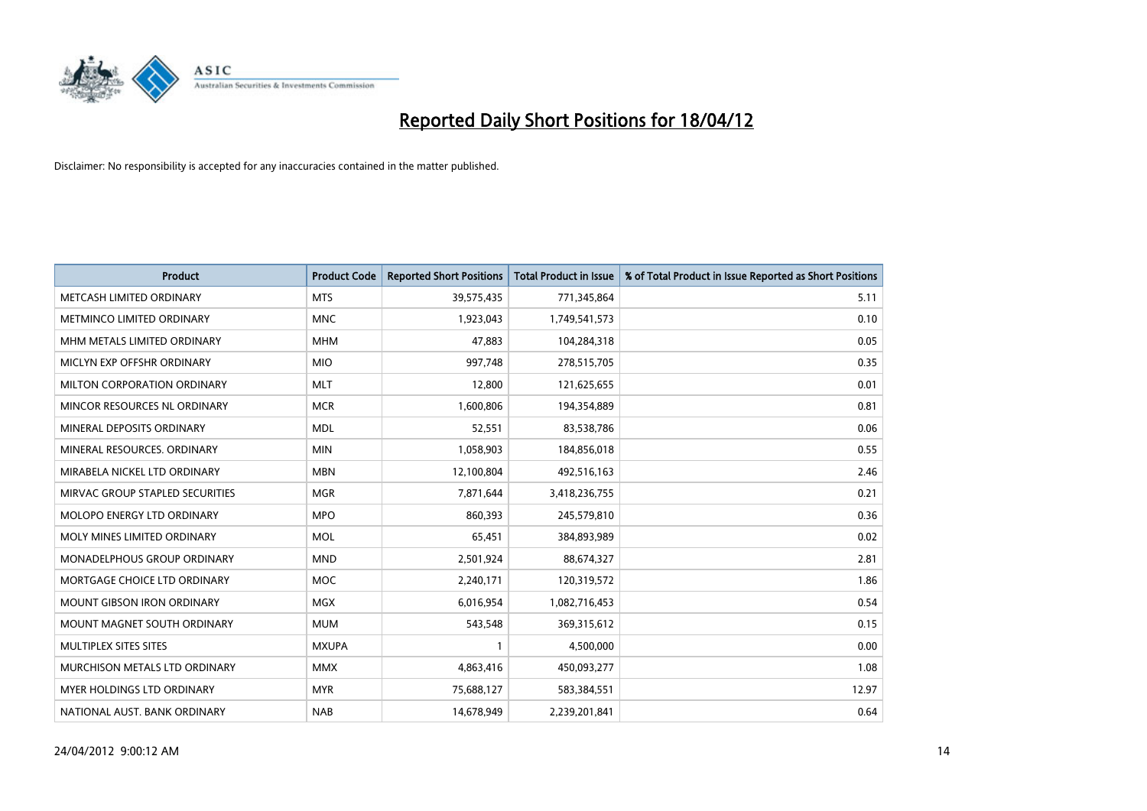

| <b>Product</b>                    | <b>Product Code</b> | <b>Reported Short Positions</b> | <b>Total Product in Issue</b> | % of Total Product in Issue Reported as Short Positions |
|-----------------------------------|---------------------|---------------------------------|-------------------------------|---------------------------------------------------------|
| METCASH LIMITED ORDINARY          | <b>MTS</b>          | 39,575,435                      | 771,345,864                   | 5.11                                                    |
| METMINCO LIMITED ORDINARY         | <b>MNC</b>          | 1,923,043                       | 1,749,541,573                 | 0.10                                                    |
| MHM METALS LIMITED ORDINARY       | <b>MHM</b>          | 47,883                          | 104,284,318                   | 0.05                                                    |
| MICLYN EXP OFFSHR ORDINARY        | <b>MIO</b>          | 997,748                         | 278,515,705                   | 0.35                                                    |
| MILTON CORPORATION ORDINARY       | <b>MLT</b>          | 12,800                          | 121,625,655                   | 0.01                                                    |
| MINCOR RESOURCES NL ORDINARY      | <b>MCR</b>          | 1,600,806                       | 194,354,889                   | 0.81                                                    |
| MINERAL DEPOSITS ORDINARY         | <b>MDL</b>          | 52,551                          | 83,538,786                    | 0.06                                                    |
| MINERAL RESOURCES. ORDINARY       | <b>MIN</b>          | 1,058,903                       | 184,856,018                   | 0.55                                                    |
| MIRABELA NICKEL LTD ORDINARY      | <b>MBN</b>          | 12,100,804                      | 492,516,163                   | 2.46                                                    |
| MIRVAC GROUP STAPLED SECURITIES   | <b>MGR</b>          | 7,871,644                       | 3,418,236,755                 | 0.21                                                    |
| MOLOPO ENERGY LTD ORDINARY        | <b>MPO</b>          | 860,393                         | 245,579,810                   | 0.36                                                    |
| MOLY MINES LIMITED ORDINARY       | <b>MOL</b>          | 65,451                          | 384,893,989                   | 0.02                                                    |
| MONADELPHOUS GROUP ORDINARY       | <b>MND</b>          | 2,501,924                       | 88,674,327                    | 2.81                                                    |
| MORTGAGE CHOICE LTD ORDINARY      | MOC                 | 2,240,171                       | 120,319,572                   | 1.86                                                    |
| <b>MOUNT GIBSON IRON ORDINARY</b> | <b>MGX</b>          | 6,016,954                       | 1,082,716,453                 | 0.54                                                    |
| MOUNT MAGNET SOUTH ORDINARY       | <b>MUM</b>          | 543,548                         | 369,315,612                   | 0.15                                                    |
| MULTIPLEX SITES SITES             | <b>MXUPA</b>        | $\mathbf{1}$                    | 4,500,000                     | 0.00                                                    |
| MURCHISON METALS LTD ORDINARY     | <b>MMX</b>          | 4,863,416                       | 450,093,277                   | 1.08                                                    |
| <b>MYER HOLDINGS LTD ORDINARY</b> | <b>MYR</b>          | 75,688,127                      | 583,384,551                   | 12.97                                                   |
| NATIONAL AUST. BANK ORDINARY      | <b>NAB</b>          | 14,678,949                      | 2,239,201,841                 | 0.64                                                    |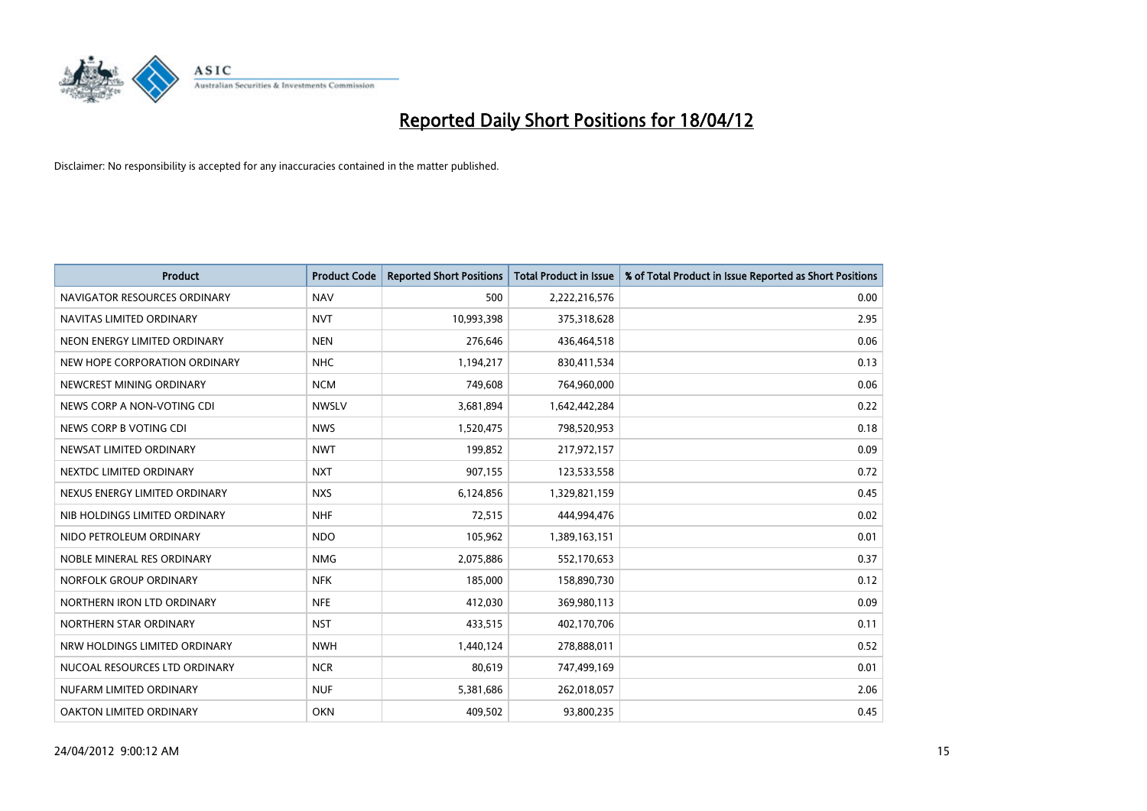

| <b>Product</b>                 | <b>Product Code</b> | <b>Reported Short Positions</b> | <b>Total Product in Issue</b> | % of Total Product in Issue Reported as Short Positions |
|--------------------------------|---------------------|---------------------------------|-------------------------------|---------------------------------------------------------|
| NAVIGATOR RESOURCES ORDINARY   | <b>NAV</b>          | 500                             | 2,222,216,576                 | 0.00                                                    |
| NAVITAS LIMITED ORDINARY       | <b>NVT</b>          | 10,993,398                      | 375,318,628                   | 2.95                                                    |
| NEON ENERGY LIMITED ORDINARY   | <b>NEN</b>          | 276,646                         | 436,464,518                   | 0.06                                                    |
| NEW HOPE CORPORATION ORDINARY  | <b>NHC</b>          | 1,194,217                       | 830,411,534                   | 0.13                                                    |
| NEWCREST MINING ORDINARY       | <b>NCM</b>          | 749,608                         | 764,960,000                   | 0.06                                                    |
| NEWS CORP A NON-VOTING CDI     | <b>NWSLV</b>        | 3,681,894                       | 1,642,442,284                 | 0.22                                                    |
| NEWS CORP B VOTING CDI         | <b>NWS</b>          | 1,520,475                       | 798,520,953                   | 0.18                                                    |
| NEWSAT LIMITED ORDINARY        | <b>NWT</b>          | 199,852                         | 217,972,157                   | 0.09                                                    |
| NEXTDC LIMITED ORDINARY        | <b>NXT</b>          | 907,155                         | 123,533,558                   | 0.72                                                    |
| NEXUS ENERGY LIMITED ORDINARY  | <b>NXS</b>          | 6,124,856                       | 1,329,821,159                 | 0.45                                                    |
| NIB HOLDINGS LIMITED ORDINARY  | <b>NHF</b>          | 72,515                          | 444,994,476                   | 0.02                                                    |
| NIDO PETROLEUM ORDINARY        | <b>NDO</b>          | 105,962                         | 1,389,163,151                 | 0.01                                                    |
| NOBLE MINERAL RES ORDINARY     | <b>NMG</b>          | 2,075,886                       | 552,170,653                   | 0.37                                                    |
| NORFOLK GROUP ORDINARY         | <b>NFK</b>          | 185,000                         | 158,890,730                   | 0.12                                                    |
| NORTHERN IRON LTD ORDINARY     | <b>NFE</b>          | 412,030                         | 369,980,113                   | 0.09                                                    |
| NORTHERN STAR ORDINARY         | <b>NST</b>          | 433,515                         | 402,170,706                   | 0.11                                                    |
| NRW HOLDINGS LIMITED ORDINARY  | <b>NWH</b>          | 1,440,124                       | 278,888,011                   | 0.52                                                    |
| NUCOAL RESOURCES LTD ORDINARY  | <b>NCR</b>          | 80,619                          | 747,499,169                   | 0.01                                                    |
| NUFARM LIMITED ORDINARY        | <b>NUF</b>          | 5,381,686                       | 262,018,057                   | 2.06                                                    |
| <b>OAKTON LIMITED ORDINARY</b> | <b>OKN</b>          | 409,502                         | 93,800,235                    | 0.45                                                    |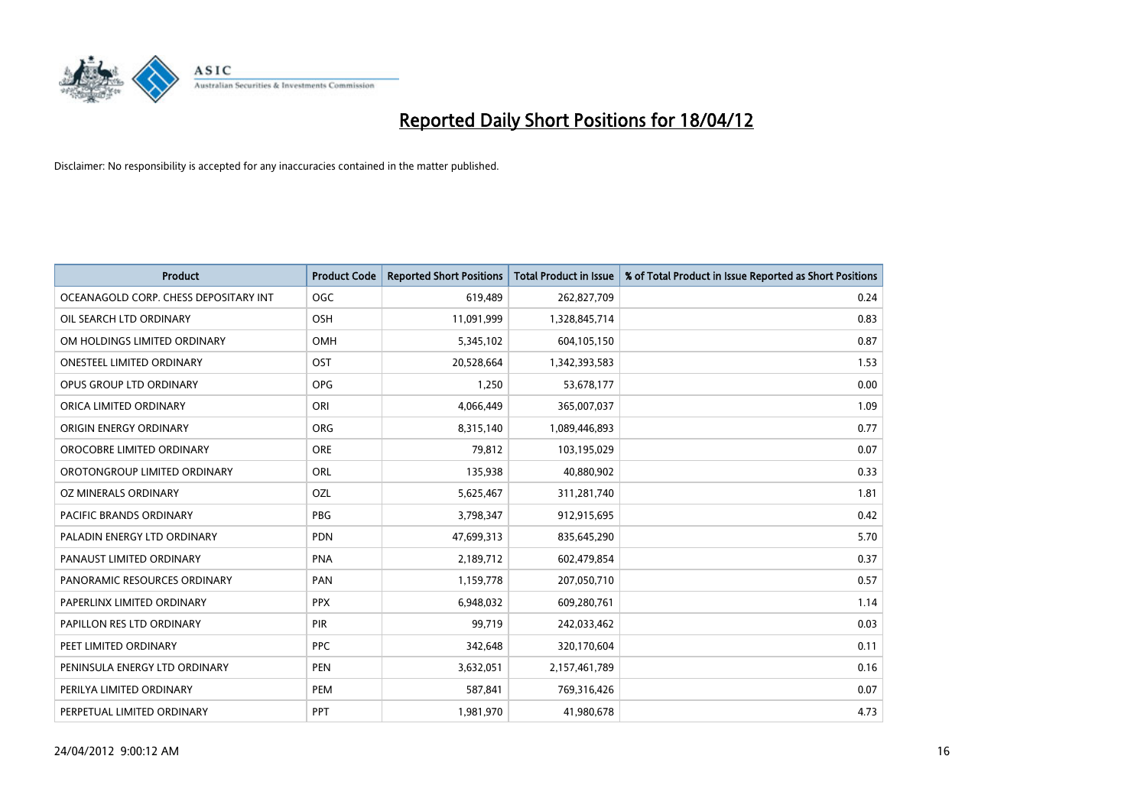

| <b>Product</b>                        | <b>Product Code</b> | <b>Reported Short Positions</b> | <b>Total Product in Issue</b> | % of Total Product in Issue Reported as Short Positions |
|---------------------------------------|---------------------|---------------------------------|-------------------------------|---------------------------------------------------------|
| OCEANAGOLD CORP. CHESS DEPOSITARY INT | <b>OGC</b>          | 619,489                         | 262,827,709                   | 0.24                                                    |
| OIL SEARCH LTD ORDINARY               | OSH                 | 11,091,999                      | 1,328,845,714                 | 0.83                                                    |
| OM HOLDINGS LIMITED ORDINARY          | <b>OMH</b>          | 5,345,102                       | 604,105,150                   | 0.87                                                    |
| <b>ONESTEEL LIMITED ORDINARY</b>      | OST                 | 20,528,664                      | 1,342,393,583                 | 1.53                                                    |
| OPUS GROUP LTD ORDINARY               | <b>OPG</b>          | 1,250                           | 53,678,177                    | 0.00                                                    |
| ORICA LIMITED ORDINARY                | ORI                 | 4,066,449                       | 365,007,037                   | 1.09                                                    |
| ORIGIN ENERGY ORDINARY                | <b>ORG</b>          | 8,315,140                       | 1,089,446,893                 | 0.77                                                    |
| OROCOBRE LIMITED ORDINARY             | <b>ORE</b>          | 79,812                          | 103,195,029                   | 0.07                                                    |
| OROTONGROUP LIMITED ORDINARY          | ORL                 | 135,938                         | 40,880,902                    | 0.33                                                    |
| OZ MINERALS ORDINARY                  | <b>OZL</b>          | 5,625,467                       | 311,281,740                   | 1.81                                                    |
| PACIFIC BRANDS ORDINARY               | PBG                 | 3,798,347                       | 912,915,695                   | 0.42                                                    |
| PALADIN ENERGY LTD ORDINARY           | <b>PDN</b>          | 47,699,313                      | 835,645,290                   | 5.70                                                    |
| PANAUST LIMITED ORDINARY              | <b>PNA</b>          | 2,189,712                       | 602,479,854                   | 0.37                                                    |
| PANORAMIC RESOURCES ORDINARY          | PAN                 | 1,159,778                       | 207,050,710                   | 0.57                                                    |
| PAPERLINX LIMITED ORDINARY            | <b>PPX</b>          | 6,948,032                       | 609,280,761                   | 1.14                                                    |
| PAPILLON RES LTD ORDINARY             | <b>PIR</b>          | 99,719                          | 242,033,462                   | 0.03                                                    |
| PEET LIMITED ORDINARY                 | <b>PPC</b>          | 342,648                         | 320,170,604                   | 0.11                                                    |
| PENINSULA ENERGY LTD ORDINARY         | <b>PEN</b>          | 3,632,051                       | 2,157,461,789                 | 0.16                                                    |
| PERILYA LIMITED ORDINARY              | <b>PEM</b>          | 587,841                         | 769,316,426                   | 0.07                                                    |
| PERPETUAL LIMITED ORDINARY            | <b>PPT</b>          | 1,981,970                       | 41,980,678                    | 4.73                                                    |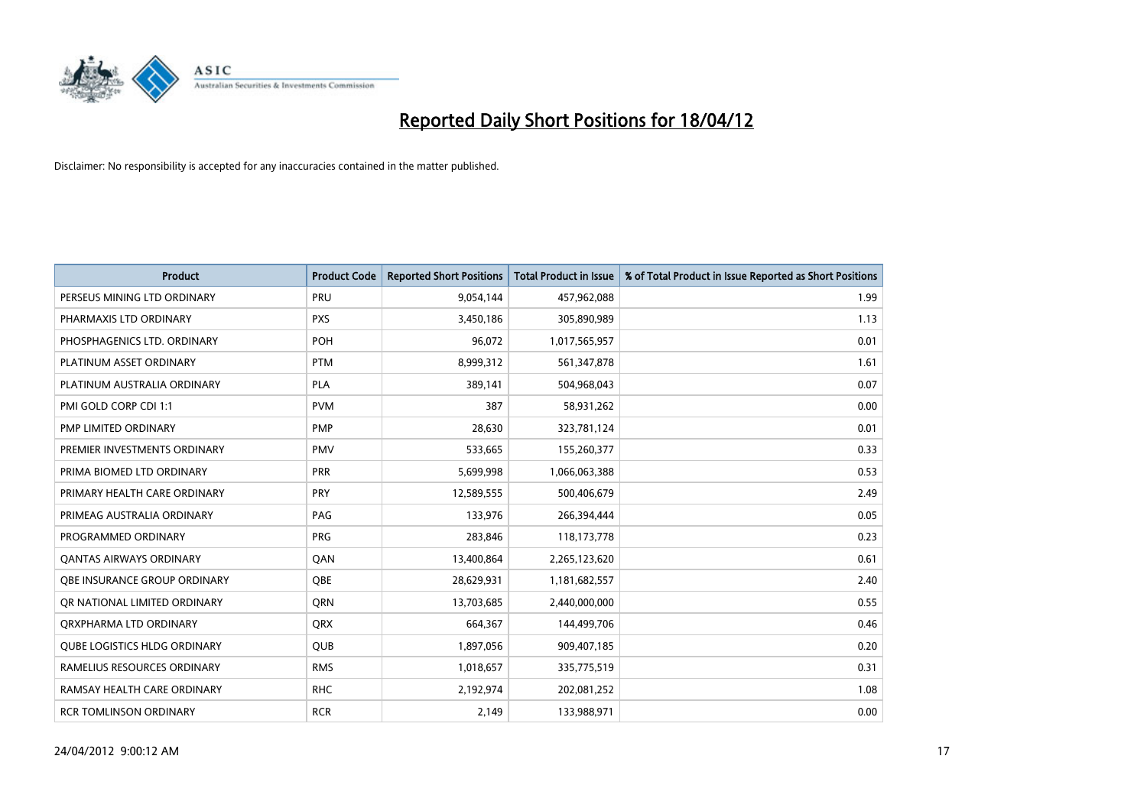

| <b>Product</b>                      | <b>Product Code</b> | <b>Reported Short Positions</b> | <b>Total Product in Issue</b> | % of Total Product in Issue Reported as Short Positions |
|-------------------------------------|---------------------|---------------------------------|-------------------------------|---------------------------------------------------------|
| PERSEUS MINING LTD ORDINARY         | PRU                 | 9,054,144                       | 457,962,088                   | 1.99                                                    |
| PHARMAXIS LTD ORDINARY              | <b>PXS</b>          | 3,450,186                       | 305,890,989                   | 1.13                                                    |
| PHOSPHAGENICS LTD. ORDINARY         | POH                 | 96,072                          | 1,017,565,957                 | 0.01                                                    |
| PLATINUM ASSET ORDINARY             | <b>PTM</b>          | 8,999,312                       | 561,347,878                   | 1.61                                                    |
| PLATINUM AUSTRALIA ORDINARY         | <b>PLA</b>          | 389,141                         | 504,968,043                   | 0.07                                                    |
| PMI GOLD CORP CDI 1:1               | <b>PVM</b>          | 387                             | 58,931,262                    | 0.00                                                    |
| <b>PMP LIMITED ORDINARY</b>         | <b>PMP</b>          | 28,630                          | 323,781,124                   | 0.01                                                    |
| PREMIER INVESTMENTS ORDINARY        | <b>PMV</b>          | 533,665                         | 155,260,377                   | 0.33                                                    |
| PRIMA BIOMED LTD ORDINARY           | <b>PRR</b>          | 5,699,998                       | 1,066,063,388                 | 0.53                                                    |
| PRIMARY HEALTH CARE ORDINARY        | <b>PRY</b>          | 12,589,555                      | 500,406,679                   | 2.49                                                    |
| PRIMEAG AUSTRALIA ORDINARY          | PAG                 | 133,976                         | 266,394,444                   | 0.05                                                    |
| PROGRAMMED ORDINARY                 | <b>PRG</b>          | 283,846                         | 118,173,778                   | 0.23                                                    |
| <b>QANTAS AIRWAYS ORDINARY</b>      | QAN                 | 13,400,864                      | 2,265,123,620                 | 0.61                                                    |
| OBE INSURANCE GROUP ORDINARY        | <b>OBE</b>          | 28,629,931                      | 1,181,682,557                 | 2.40                                                    |
| OR NATIONAL LIMITED ORDINARY        | <b>ORN</b>          | 13,703,685                      | 2,440,000,000                 | 0.55                                                    |
| ORXPHARMA LTD ORDINARY              | <b>QRX</b>          | 664,367                         | 144,499,706                   | 0.46                                                    |
| <b>QUBE LOGISTICS HLDG ORDINARY</b> | <b>QUB</b>          | 1,897,056                       | 909,407,185                   | 0.20                                                    |
| RAMELIUS RESOURCES ORDINARY         | <b>RMS</b>          | 1,018,657                       | 335,775,519                   | 0.31                                                    |
| RAMSAY HEALTH CARE ORDINARY         | <b>RHC</b>          | 2,192,974                       | 202,081,252                   | 1.08                                                    |
| RCR TOMLINSON ORDINARY              | <b>RCR</b>          | 2,149                           | 133,988,971                   | 0.00                                                    |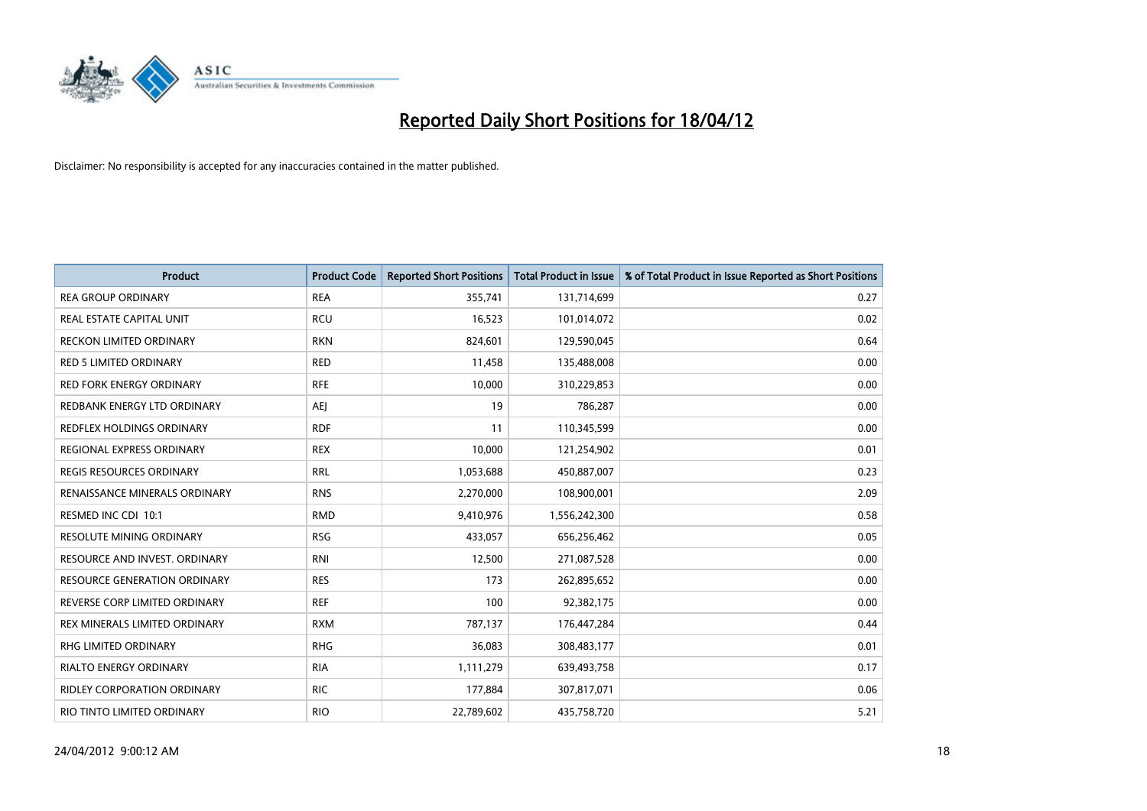

| <b>Product</b>                       | <b>Product Code</b> | <b>Reported Short Positions</b> | <b>Total Product in Issue</b> | % of Total Product in Issue Reported as Short Positions |
|--------------------------------------|---------------------|---------------------------------|-------------------------------|---------------------------------------------------------|
| <b>REA GROUP ORDINARY</b>            | <b>REA</b>          | 355,741                         | 131,714,699                   | 0.27                                                    |
| REAL ESTATE CAPITAL UNIT             | <b>RCU</b>          | 16,523                          | 101,014,072                   | 0.02                                                    |
| <b>RECKON LIMITED ORDINARY</b>       | <b>RKN</b>          | 824,601                         | 129,590,045                   | 0.64                                                    |
| <b>RED 5 LIMITED ORDINARY</b>        | <b>RED</b>          | 11,458                          | 135,488,008                   | 0.00                                                    |
| <b>RED FORK ENERGY ORDINARY</b>      | <b>RFE</b>          | 10,000                          | 310,229,853                   | 0.00                                                    |
| REDBANK ENERGY LTD ORDINARY          | <b>AEJ</b>          | 19                              | 786,287                       | 0.00                                                    |
| <b>REDFLEX HOLDINGS ORDINARY</b>     | <b>RDF</b>          | 11                              | 110,345,599                   | 0.00                                                    |
| REGIONAL EXPRESS ORDINARY            | <b>REX</b>          | 10,000                          | 121,254,902                   | 0.01                                                    |
| <b>REGIS RESOURCES ORDINARY</b>      | <b>RRL</b>          | 1,053,688                       | 450,887,007                   | 0.23                                                    |
| <b>RENAISSANCE MINERALS ORDINARY</b> | <b>RNS</b>          | 2,270,000                       | 108,900,001                   | 2.09                                                    |
| RESMED INC CDI 10:1                  | <b>RMD</b>          | 9,410,976                       | 1,556,242,300                 | 0.58                                                    |
| <b>RESOLUTE MINING ORDINARY</b>      | <b>RSG</b>          | 433,057                         | 656,256,462                   | 0.05                                                    |
| RESOURCE AND INVEST. ORDINARY        | <b>RNI</b>          | 12,500                          | 271,087,528                   | 0.00                                                    |
| <b>RESOURCE GENERATION ORDINARY</b>  | <b>RES</b>          | 173                             | 262,895,652                   | 0.00                                                    |
| REVERSE CORP LIMITED ORDINARY        | <b>REF</b>          | 100                             | 92,382,175                    | 0.00                                                    |
| REX MINERALS LIMITED ORDINARY        | <b>RXM</b>          | 787,137                         | 176,447,284                   | 0.44                                                    |
| RHG LIMITED ORDINARY                 | <b>RHG</b>          | 36,083                          | 308,483,177                   | 0.01                                                    |
| <b>RIALTO ENERGY ORDINARY</b>        | <b>RIA</b>          | 1,111,279                       | 639,493,758                   | 0.17                                                    |
| <b>RIDLEY CORPORATION ORDINARY</b>   | <b>RIC</b>          | 177,884                         | 307,817,071                   | 0.06                                                    |
| RIO TINTO LIMITED ORDINARY           | <b>RIO</b>          | 22,789,602                      | 435,758,720                   | 5.21                                                    |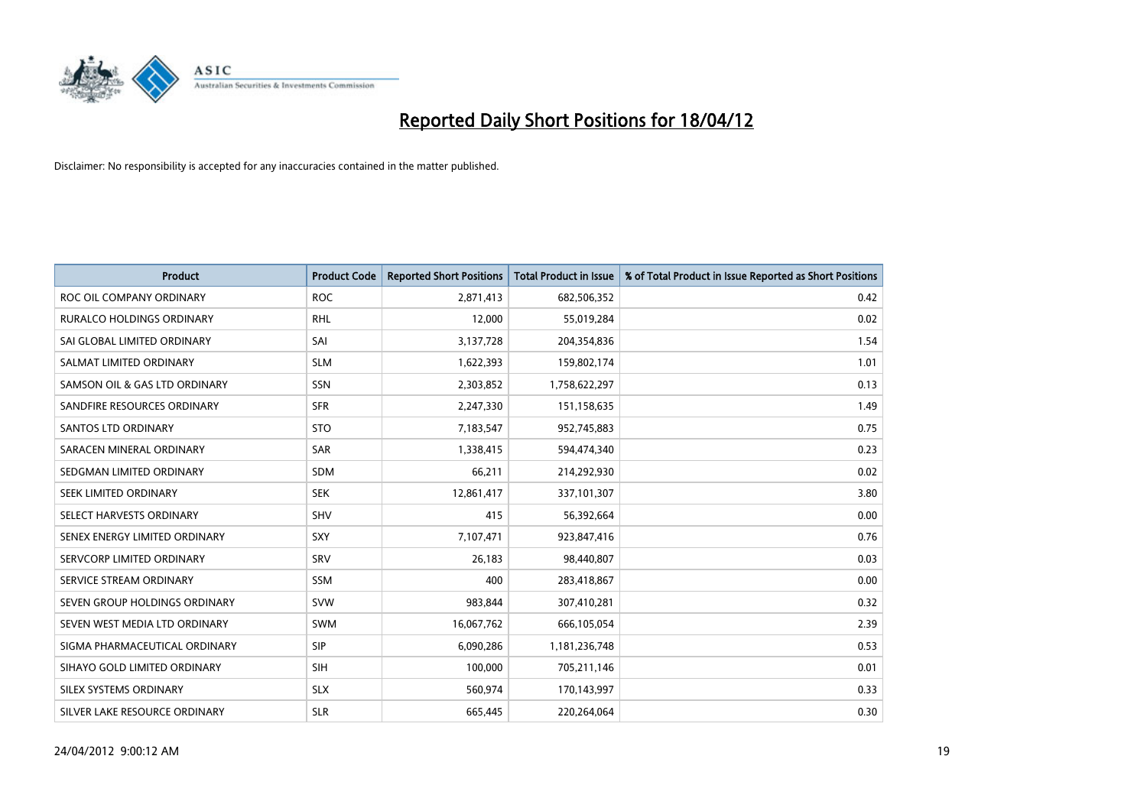

| <b>Product</b>                   | <b>Product Code</b> | <b>Reported Short Positions</b> | <b>Total Product in Issue</b> | % of Total Product in Issue Reported as Short Positions |
|----------------------------------|---------------------|---------------------------------|-------------------------------|---------------------------------------------------------|
| ROC OIL COMPANY ORDINARY         | <b>ROC</b>          | 2,871,413                       | 682,506,352                   | 0.42                                                    |
| <b>RURALCO HOLDINGS ORDINARY</b> | <b>RHL</b>          | 12,000                          | 55,019,284                    | 0.02                                                    |
| SAI GLOBAL LIMITED ORDINARY      | SAI                 | 3,137,728                       | 204,354,836                   | 1.54                                                    |
| SALMAT LIMITED ORDINARY          | <b>SLM</b>          | 1,622,393                       | 159,802,174                   | 1.01                                                    |
| SAMSON OIL & GAS LTD ORDINARY    | SSN                 | 2,303,852                       | 1,758,622,297                 | 0.13                                                    |
| SANDFIRE RESOURCES ORDINARY      | <b>SFR</b>          | 2,247,330                       | 151,158,635                   | 1.49                                                    |
| <b>SANTOS LTD ORDINARY</b>       | <b>STO</b>          | 7,183,547                       | 952,745,883                   | 0.75                                                    |
| SARACEN MINERAL ORDINARY         | <b>SAR</b>          | 1,338,415                       | 594,474,340                   | 0.23                                                    |
| SEDGMAN LIMITED ORDINARY         | <b>SDM</b>          | 66,211                          | 214,292,930                   | 0.02                                                    |
| SEEK LIMITED ORDINARY            | <b>SEK</b>          | 12,861,417                      | 337,101,307                   | 3.80                                                    |
| SELECT HARVESTS ORDINARY         | SHV                 | 415                             | 56,392,664                    | 0.00                                                    |
| SENEX ENERGY LIMITED ORDINARY    | <b>SXY</b>          | 7,107,471                       | 923,847,416                   | 0.76                                                    |
| SERVCORP LIMITED ORDINARY        | SRV                 | 26,183                          | 98,440,807                    | 0.03                                                    |
| SERVICE STREAM ORDINARY          | SSM                 | 400                             | 283,418,867                   | 0.00                                                    |
| SEVEN GROUP HOLDINGS ORDINARY    | <b>SVW</b>          | 983,844                         | 307,410,281                   | 0.32                                                    |
| SEVEN WEST MEDIA LTD ORDINARY    | SWM                 | 16,067,762                      | 666,105,054                   | 2.39                                                    |
| SIGMA PHARMACEUTICAL ORDINARY    | <b>SIP</b>          | 6,090,286                       | 1,181,236,748                 | 0.53                                                    |
| SIHAYO GOLD LIMITED ORDINARY     | <b>SIH</b>          | 100,000                         | 705,211,146                   | 0.01                                                    |
| SILEX SYSTEMS ORDINARY           | <b>SLX</b>          | 560,974                         | 170,143,997                   | 0.33                                                    |
| SILVER LAKE RESOURCE ORDINARY    | <b>SLR</b>          | 665,445                         | 220,264,064                   | 0.30                                                    |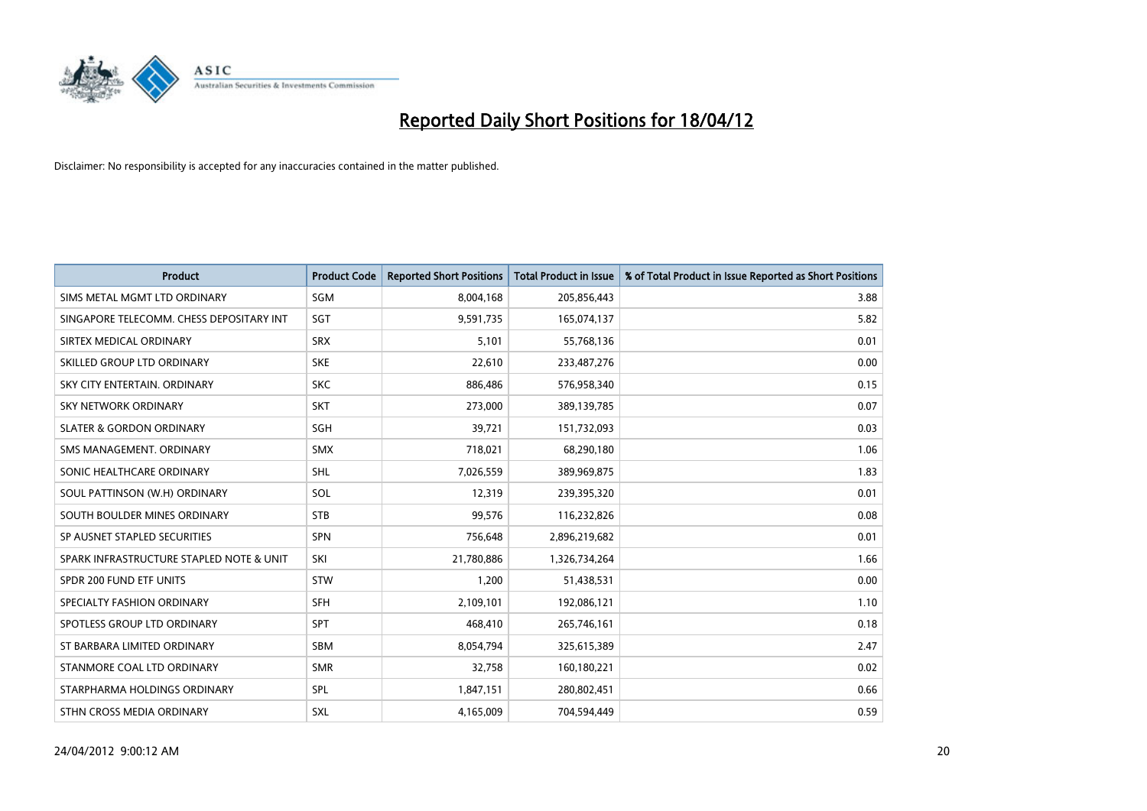

| <b>Product</b>                           | <b>Product Code</b> | <b>Reported Short Positions</b> | <b>Total Product in Issue</b> | % of Total Product in Issue Reported as Short Positions |
|------------------------------------------|---------------------|---------------------------------|-------------------------------|---------------------------------------------------------|
| SIMS METAL MGMT LTD ORDINARY             | SGM                 | 8,004,168                       | 205,856,443                   | 3.88                                                    |
| SINGAPORE TELECOMM. CHESS DEPOSITARY INT | SGT                 | 9,591,735                       | 165,074,137                   | 5.82                                                    |
| SIRTEX MEDICAL ORDINARY                  | <b>SRX</b>          | 5,101                           | 55,768,136                    | 0.01                                                    |
| SKILLED GROUP LTD ORDINARY               | <b>SKE</b>          | 22,610                          | 233,487,276                   | 0.00                                                    |
| SKY CITY ENTERTAIN, ORDINARY             | <b>SKC</b>          | 886,486                         | 576,958,340                   | 0.15                                                    |
| <b>SKY NETWORK ORDINARY</b>              | <b>SKT</b>          | 273,000                         | 389,139,785                   | 0.07                                                    |
| <b>SLATER &amp; GORDON ORDINARY</b>      | SGH                 | 39,721                          | 151,732,093                   | 0.03                                                    |
| SMS MANAGEMENT, ORDINARY                 | <b>SMX</b>          | 718,021                         | 68,290,180                    | 1.06                                                    |
| SONIC HEALTHCARE ORDINARY                | <b>SHL</b>          | 7,026,559                       | 389,969,875                   | 1.83                                                    |
| SOUL PATTINSON (W.H) ORDINARY            | SOL                 | 12,319                          | 239,395,320                   | 0.01                                                    |
| SOUTH BOULDER MINES ORDINARY             | <b>STB</b>          | 99,576                          | 116,232,826                   | 0.08                                                    |
| SP AUSNET STAPLED SECURITIES             | SPN                 | 756,648                         | 2,896,219,682                 | 0.01                                                    |
| SPARK INFRASTRUCTURE STAPLED NOTE & UNIT | SKI                 | 21,780,886                      | 1,326,734,264                 | 1.66                                                    |
| SPDR 200 FUND ETF UNITS                  | <b>STW</b>          | 1,200                           | 51,438,531                    | 0.00                                                    |
| SPECIALTY FASHION ORDINARY               | <b>SFH</b>          | 2,109,101                       | 192,086,121                   | 1.10                                                    |
| SPOTLESS GROUP LTD ORDINARY              | <b>SPT</b>          | 468,410                         | 265,746,161                   | 0.18                                                    |
| ST BARBARA LIMITED ORDINARY              | SBM                 | 8,054,794                       | 325,615,389                   | 2.47                                                    |
| STANMORE COAL LTD ORDINARY               | <b>SMR</b>          | 32,758                          | 160,180,221                   | 0.02                                                    |
| STARPHARMA HOLDINGS ORDINARY             | SPL                 | 1,847,151                       | 280,802,451                   | 0.66                                                    |
| STHN CROSS MEDIA ORDINARY                | SXL                 | 4,165,009                       | 704,594,449                   | 0.59                                                    |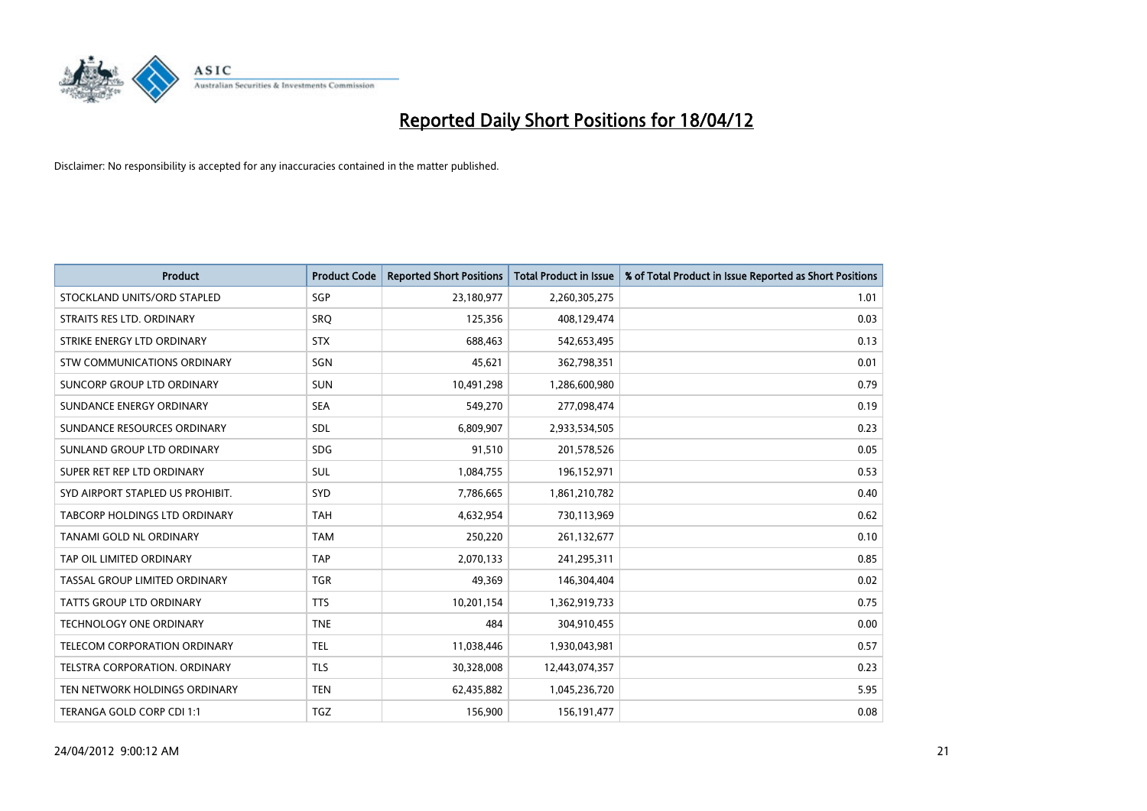

| <b>Product</b>                   | <b>Product Code</b> | <b>Reported Short Positions</b> | <b>Total Product in Issue</b> | % of Total Product in Issue Reported as Short Positions |
|----------------------------------|---------------------|---------------------------------|-------------------------------|---------------------------------------------------------|
| STOCKLAND UNITS/ORD STAPLED      | SGP                 | 23,180,977                      | 2,260,305,275                 | 1.01                                                    |
| STRAITS RES LTD. ORDINARY        | SRO                 | 125,356                         | 408,129,474                   | 0.03                                                    |
| STRIKE ENERGY LTD ORDINARY       | <b>STX</b>          | 688,463                         | 542,653,495                   | 0.13                                                    |
| STW COMMUNICATIONS ORDINARY      | SGN                 | 45,621                          | 362,798,351                   | 0.01                                                    |
| SUNCORP GROUP LTD ORDINARY       | <b>SUN</b>          | 10,491,298                      | 1,286,600,980                 | 0.79                                                    |
| SUNDANCE ENERGY ORDINARY         | <b>SEA</b>          | 549,270                         | 277,098,474                   | 0.19                                                    |
| SUNDANCE RESOURCES ORDINARY      | <b>SDL</b>          | 6,809,907                       | 2,933,534,505                 | 0.23                                                    |
| SUNLAND GROUP LTD ORDINARY       | <b>SDG</b>          | 91,510                          | 201,578,526                   | 0.05                                                    |
| SUPER RET REP LTD ORDINARY       | SUL                 | 1,084,755                       | 196,152,971                   | 0.53                                                    |
| SYD AIRPORT STAPLED US PROHIBIT. | <b>SYD</b>          | 7,786,665                       | 1,861,210,782                 | 0.40                                                    |
| TABCORP HOLDINGS LTD ORDINARY    | <b>TAH</b>          | 4,632,954                       | 730,113,969                   | 0.62                                                    |
| TANAMI GOLD NL ORDINARY          | <b>TAM</b>          | 250,220                         | 261,132,677                   | 0.10                                                    |
| TAP OIL LIMITED ORDINARY         | <b>TAP</b>          | 2,070,133                       | 241,295,311                   | 0.85                                                    |
| TASSAL GROUP LIMITED ORDINARY    | <b>TGR</b>          | 49,369                          | 146,304,404                   | 0.02                                                    |
| <b>TATTS GROUP LTD ORDINARY</b>  | <b>TTS</b>          | 10,201,154                      | 1,362,919,733                 | 0.75                                                    |
| TECHNOLOGY ONE ORDINARY          | <b>TNE</b>          | 484                             | 304,910,455                   | 0.00                                                    |
| TELECOM CORPORATION ORDINARY     | <b>TEL</b>          | 11,038,446                      | 1,930,043,981                 | 0.57                                                    |
| TELSTRA CORPORATION. ORDINARY    | <b>TLS</b>          | 30,328,008                      | 12,443,074,357                | 0.23                                                    |
| TEN NETWORK HOLDINGS ORDINARY    | <b>TEN</b>          | 62,435,882                      | 1,045,236,720                 | 5.95                                                    |
| TERANGA GOLD CORP CDI 1:1        | TGZ                 | 156,900                         | 156, 191, 477                 | 0.08                                                    |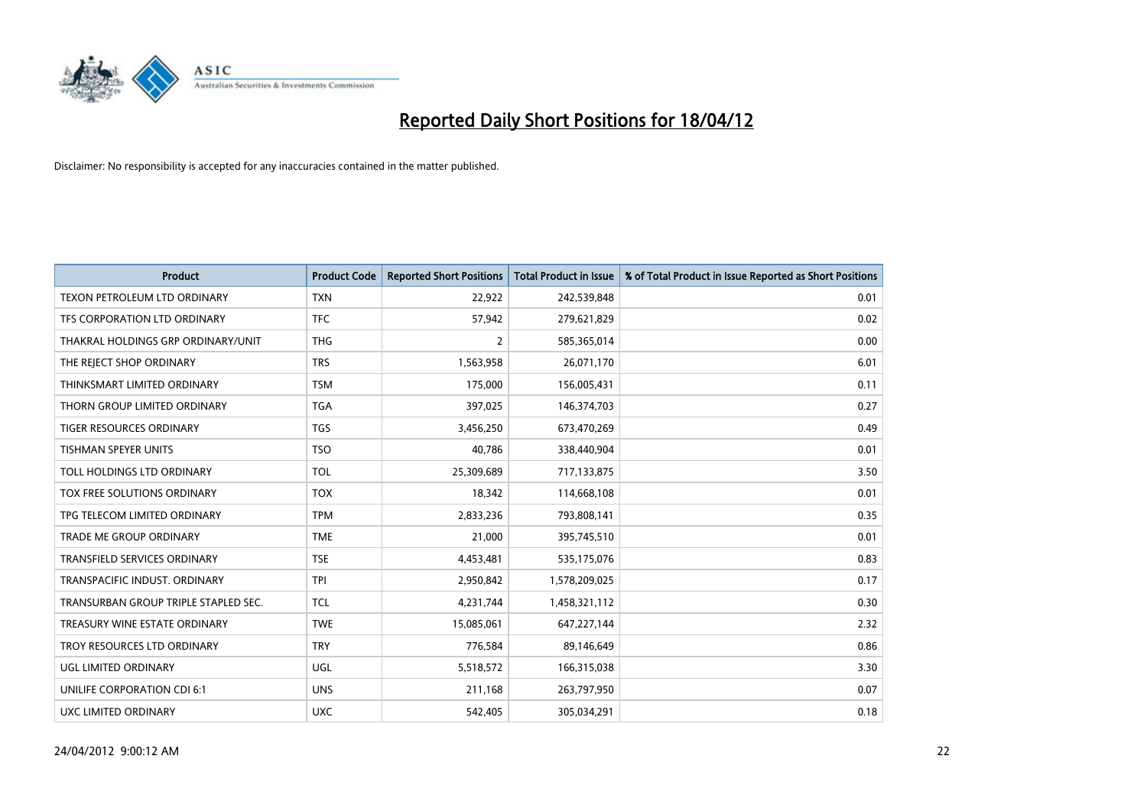

| Product                              | <b>Product Code</b> | <b>Reported Short Positions</b> | <b>Total Product in Issue</b> | % of Total Product in Issue Reported as Short Positions |
|--------------------------------------|---------------------|---------------------------------|-------------------------------|---------------------------------------------------------|
| TEXON PETROLEUM LTD ORDINARY         | <b>TXN</b>          | 22,922                          | 242,539,848                   | 0.01                                                    |
| TFS CORPORATION LTD ORDINARY         | <b>TFC</b>          | 57,942                          | 279,621,829                   | 0.02                                                    |
| THAKRAL HOLDINGS GRP ORDINARY/UNIT   | <b>THG</b>          | $\overline{2}$                  | 585,365,014                   | 0.00                                                    |
| THE REJECT SHOP ORDINARY             | <b>TRS</b>          | 1,563,958                       | 26,071,170                    | 6.01                                                    |
| THINKSMART LIMITED ORDINARY          | <b>TSM</b>          | 175,000                         | 156,005,431                   | 0.11                                                    |
| THORN GROUP LIMITED ORDINARY         | <b>TGA</b>          | 397,025                         | 146,374,703                   | 0.27                                                    |
| TIGER RESOURCES ORDINARY             | <b>TGS</b>          | 3,456,250                       | 673,470,269                   | 0.49                                                    |
| TISHMAN SPEYER UNITS                 | <b>TSO</b>          | 40,786                          | 338,440,904                   | 0.01                                                    |
| TOLL HOLDINGS LTD ORDINARY           | <b>TOL</b>          | 25,309,689                      | 717,133,875                   | 3.50                                                    |
| TOX FREE SOLUTIONS ORDINARY          | <b>TOX</b>          | 18,342                          | 114,668,108                   | 0.01                                                    |
| TPG TELECOM LIMITED ORDINARY         | <b>TPM</b>          | 2,833,236                       | 793,808,141                   | 0.35                                                    |
| <b>TRADE ME GROUP ORDINARY</b>       | <b>TME</b>          | 21,000                          | 395,745,510                   | 0.01                                                    |
| TRANSFIELD SERVICES ORDINARY         | <b>TSE</b>          | 4,453,481                       | 535,175,076                   | 0.83                                                    |
| TRANSPACIFIC INDUST, ORDINARY        | <b>TPI</b>          | 2,950,842                       | 1,578,209,025                 | 0.17                                                    |
| TRANSURBAN GROUP TRIPLE STAPLED SEC. | <b>TCL</b>          | 4,231,744                       | 1,458,321,112                 | 0.30                                                    |
| TREASURY WINE ESTATE ORDINARY        | <b>TWE</b>          | 15,085,061                      | 647,227,144                   | 2.32                                                    |
| TROY RESOURCES LTD ORDINARY          | <b>TRY</b>          | 776,584                         | 89,146,649                    | 0.86                                                    |
| UGL LIMITED ORDINARY                 | UGL                 | 5,518,572                       | 166,315,038                   | 3.30                                                    |
| UNILIFE CORPORATION CDI 6:1          | <b>UNS</b>          | 211,168                         | 263,797,950                   | 0.07                                                    |
| UXC LIMITED ORDINARY                 | <b>UXC</b>          | 542,405                         | 305,034,291                   | 0.18                                                    |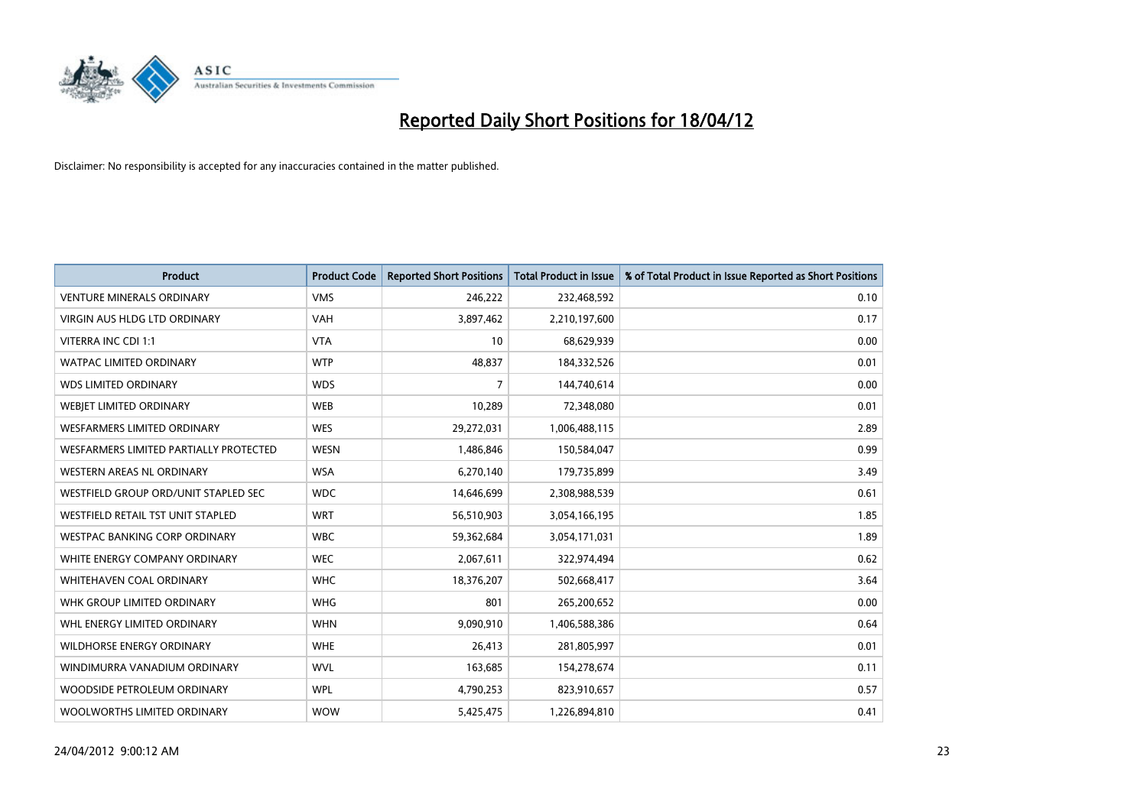

| <b>Product</b>                         | <b>Product Code</b> | <b>Reported Short Positions</b> | <b>Total Product in Issue</b> | % of Total Product in Issue Reported as Short Positions |
|----------------------------------------|---------------------|---------------------------------|-------------------------------|---------------------------------------------------------|
| <b>VENTURE MINERALS ORDINARY</b>       | <b>VMS</b>          | 246,222                         | 232,468,592                   | 0.10                                                    |
| <b>VIRGIN AUS HLDG LTD ORDINARY</b>    | <b>VAH</b>          | 3,897,462                       | 2,210,197,600                 | 0.17                                                    |
| VITERRA INC CDI 1:1                    | <b>VTA</b>          | 10                              | 68,629,939                    | 0.00                                                    |
| <b>WATPAC LIMITED ORDINARY</b>         | <b>WTP</b>          | 48,837                          | 184,332,526                   | 0.01                                                    |
| <b>WDS LIMITED ORDINARY</b>            | <b>WDS</b>          | 7                               | 144,740,614                   | 0.00                                                    |
| WEBIET LIMITED ORDINARY                | <b>WEB</b>          | 10,289                          | 72,348,080                    | 0.01                                                    |
| <b>WESFARMERS LIMITED ORDINARY</b>     | <b>WES</b>          | 29,272,031                      | 1,006,488,115                 | 2.89                                                    |
| WESFARMERS LIMITED PARTIALLY PROTECTED | <b>WESN</b>         | 1,486,846                       | 150,584,047                   | 0.99                                                    |
| <b>WESTERN AREAS NL ORDINARY</b>       | <b>WSA</b>          | 6,270,140                       | 179,735,899                   | 3.49                                                    |
| WESTFIELD GROUP ORD/UNIT STAPLED SEC   | <b>WDC</b>          | 14,646,699                      | 2,308,988,539                 | 0.61                                                    |
| WESTFIELD RETAIL TST UNIT STAPLED      | <b>WRT</b>          | 56,510,903                      | 3,054,166,195                 | 1.85                                                    |
| <b>WESTPAC BANKING CORP ORDINARY</b>   | <b>WBC</b>          | 59,362,684                      | 3,054,171,031                 | 1.89                                                    |
| WHITE ENERGY COMPANY ORDINARY          | <b>WEC</b>          | 2,067,611                       | 322,974,494                   | 0.62                                                    |
| WHITEHAVEN COAL ORDINARY               | <b>WHC</b>          | 18,376,207                      | 502,668,417                   | 3.64                                                    |
| WHK GROUP LIMITED ORDINARY             | <b>WHG</b>          | 801                             | 265,200,652                   | 0.00                                                    |
| WHL ENERGY LIMITED ORDINARY            | <b>WHN</b>          | 9,090,910                       | 1,406,588,386                 | 0.64                                                    |
| <b>WILDHORSE ENERGY ORDINARY</b>       | <b>WHE</b>          | 26,413                          | 281,805,997                   | 0.01                                                    |
| WINDIMURRA VANADIUM ORDINARY           | <b>WVL</b>          | 163,685                         | 154,278,674                   | 0.11                                                    |
| WOODSIDE PETROLEUM ORDINARY            | <b>WPL</b>          | 4,790,253                       | 823,910,657                   | 0.57                                                    |
| WOOLWORTHS LIMITED ORDINARY            | <b>WOW</b>          | 5,425,475                       | 1,226,894,810                 | 0.41                                                    |